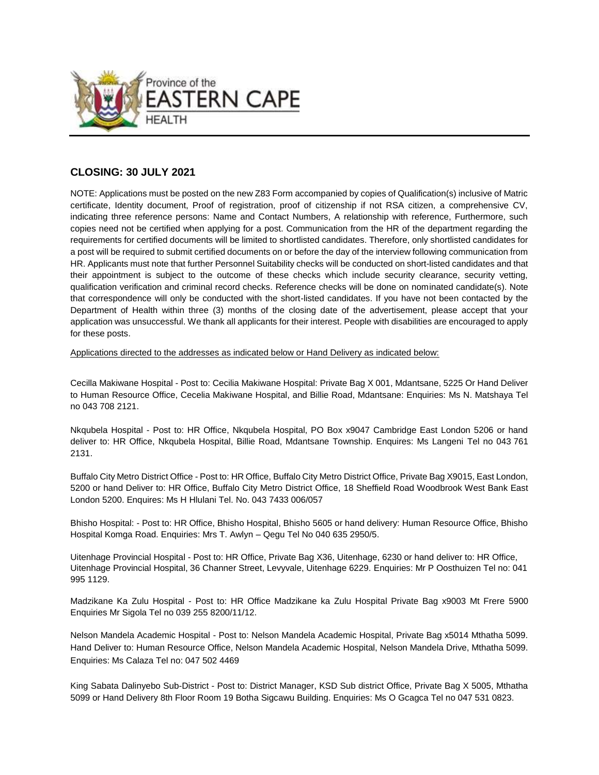

# **CLOSING: 30 JULY 2021**

NOTE: Applications must be posted on the new Z83 Form accompanied by copies of Qualification(s) inclusive of Matric certificate, Identity document, Proof of registration, proof of citizenship if not RSA citizen, a comprehensive CV, indicating three reference persons: Name and Contact Numbers, A relationship with reference, Furthermore, such copies need not be certified when applying for a post. Communication from the HR of the department regarding the requirements for certified documents will be limited to shortlisted candidates. Therefore, only shortlisted candidates for a post will be required to submit certified documents on or before the day of the interview following communication from HR. Applicants must note that further Personnel Suitability checks will be conducted on short-listed candidates and that their appointment is subject to the outcome of these checks which include security clearance, security vetting, qualification verification and criminal record checks. Reference checks will be done on nominated candidate(s). Note that correspondence will only be conducted with the short-listed candidates. If you have not been contacted by the Department of Health within three (3) months of the closing date of the advertisement, please accept that your application was unsuccessful. We thank all applicants for their interest. People with disabilities are encouraged to apply for these posts.

Applications directed to the addresses as indicated below or Hand Delivery as indicated below:

Cecilla Makiwane Hospital - Post to: Cecilia Makiwane Hospital: Private Bag X 001, Mdantsane, 5225 Or Hand Deliver to Human Resource Office, Cecelia Makiwane Hospital, and Billie Road, Mdantsane: Enquiries: Ms N. Matshaya Tel no 043 708 2121.

Nkqubela Hospital - Post to: HR Office, Nkqubela Hospital, PO Box x9047 Cambridge East London 5206 or hand deliver to: HR Office, Nkqubela Hospital, Billie Road, Mdantsane Township. Enquires: Ms Langeni Tel no 043 761 2131.

Buffalo City Metro District Office - Post to: HR Office, Buffalo City Metro District Office, Private Bag X9015, East London, 5200 or hand Deliver to: HR Office, Buffalo City Metro District Office, 18 Sheffield Road Woodbrook West Bank East London 5200. Enquires: Ms H Hlulani Tel. No. 043 7433 006/057

Bhisho Hospital: - Post to: HR Office, Bhisho Hospital, Bhisho 5605 or hand delivery: Human Resource Office, Bhisho Hospital Komga Road. Enquiries: Mrs T. Awlyn – Qegu Tel No 040 635 2950/5.

Uitenhage Provincial Hospital - Post to: HR Office, Private Bag X36, Uitenhage, 6230 or hand deliver to: HR Office, Uitenhage Provincial Hospital, 36 Channer Street, Levyvale, Uitenhage 6229. Enquiries: Mr P Oosthuizen Tel no: 041 995 1129.

Madzikane Ka Zulu Hospital - Post to: HR Office Madzikane ka Zulu Hospital Private Bag x9003 Mt Frere 5900 Enquiries Mr Sigola Tel no 039 255 8200/11/12.

Nelson Mandela Academic Hospital - Post to: Nelson Mandela Academic Hospital, Private Bag x5014 Mthatha 5099. Hand Deliver to: Human Resource Office, Nelson Mandela Academic Hospital, Nelson Mandela Drive, Mthatha 5099. Enquiries: Ms Calaza Tel no: 047 502 4469

King Sabata Dalinyebo Sub-District - Post to: District Manager, KSD Sub district Office, Private Bag X 5005, Mthatha 5099 or Hand Delivery 8th Floor Room 19 Botha Sigcawu Building. Enquiries: Ms O Gcagca Tel no 047 531 0823.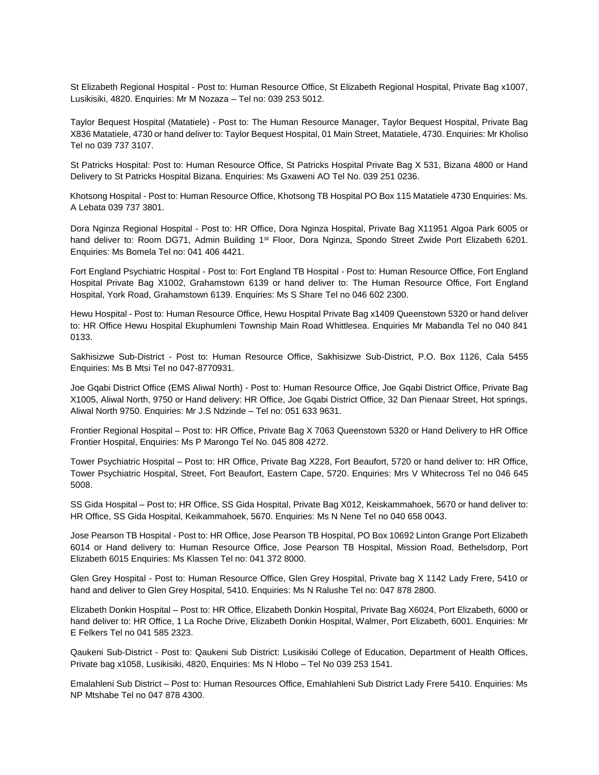St Elizabeth Regional Hospital - Post to: Human Resource Office, St Elizabeth Regional Hospital, Private Bag x1007, Lusikisiki, 4820. Enquiries: Mr M Nozaza – Tel no: 039 253 5012.

Taylor Bequest Hospital (Matatiele) - Post to: The Human Resource Manager, Taylor Bequest Hospital, Private Bag X836 Matatiele, 4730 or hand deliver to: Taylor Bequest Hospital, 01 Main Street, Matatiele, 4730. Enquiries: Mr Kholiso Tel no 039 737 3107.

St Patricks Hospital: Post to: Human Resource Office, St Patricks Hospital Private Bag X 531, Bizana 4800 or Hand Delivery to St Patricks Hospital Bizana. Enquiries: Ms Gxaweni AO Tel No. 039 251 0236.

Khotsong Hospital - Post to: Human Resource Office, Khotsong TB Hospital PO Box 115 Matatiele 4730 Enquiries: Ms. A Lebata 039 737 3801.

Dora Nginza Regional Hospital - Post to: HR Office, Dora Nginza Hospital, Private Bag X11951 Algoa Park 6005 or hand deliver to: Room DG71, Admin Building 1<sup>st</sup> Floor, Dora Nginza, Spondo Street Zwide Port Elizabeth 6201. Enquiries: Ms Bomela Tel no: 041 406 4421.

Fort England Psychiatric Hospital - Post to: Fort England TB Hospital - Post to: Human Resource Office, Fort England Hospital Private Bag X1002, Grahamstown 6139 or hand deliver to: The Human Resource Office, Fort England Hospital, York Road, Grahamstown 6139. Enquiries: Ms S Share Tel no 046 602 2300.

Hewu Hospital - Post to: Human Resource Office, Hewu Hospital Private Bag x1409 Queenstown 5320 or hand deliver to: HR Office Hewu Hospital Ekuphumleni Township Main Road Whittlesea. Enquiries Mr Mabandla Tel no 040 841 0133.

Sakhisizwe Sub-District - Post to: Human Resource Office, Sakhisizwe Sub-District, P.O. Box 1126, Cala 5455 Enquiries: Ms B Mtsi Tel no 047-8770931.

Joe Gqabi District Office (EMS Aliwal North) - Post to: Human Resource Office, Joe Gqabi District Office, Private Bag X1005, Aliwal North, 9750 or Hand delivery: HR Office, Joe Gqabi District Office, 32 Dan Pienaar Street, Hot springs, Aliwal North 9750. Enquiries: Mr J.S Ndzinde – Tel no: 051 633 9631.

Frontier Regional Hospital – Post to: HR Office, Private Bag X 7063 Queenstown 5320 or Hand Delivery to HR Office Frontier Hospital, Enquiries: Ms P Marongo Tel No. 045 808 4272.

Tower Psychiatric Hospital – Post to: HR Office, Private Bag X228, Fort Beaufort, 5720 or hand deliver to: HR Office, Tower Psychiatric Hospital, Street, Fort Beaufort, Eastern Cape, 5720. Enquiries: Mrs V Whitecross Tel no 046 645 5008.

SS Gida Hospital – Post to; HR Office, SS Gida Hospital, Private Bag X012, Keiskammahoek, 5670 or hand deliver to: HR Office, SS Gida Hospital, Keikammahoek, 5670. Enquiries: Ms N Nene Tel no 040 658 0043.

Jose Pearson TB Hospital - Post to: HR Office, Jose Pearson TB Hospital, PO Box 10692 Linton Grange Port Elizabeth 6014 or Hand delivery to: Human Resource Office, Jose Pearson TB Hospital, Mission Road, Bethelsdorp, Port Elizabeth 6015 Enquiries: Ms Klassen Tel no: 041 372 8000.

Glen Grey Hospital - Post to: Human Resource Office, Glen Grey Hospital, Private bag X 1142 Lady Frere, 5410 or hand and deliver to Glen Grey Hospital, 5410. Enquiries: Ms N Ralushe Tel no: 047 878 2800.

Elizabeth Donkin Hospital – Post to: HR Office, Elizabeth Donkin Hospital, Private Bag X6024, Port Elizabeth, 6000 or hand deliver to: HR Office, 1 La Roche Drive, Elizabeth Donkin Hospital, Walmer, Port Elizabeth, 6001. Enquiries: Mr E Felkers Tel no 041 585 2323.

Qaukeni Sub-District - Post to: Qaukeni Sub District: Lusikisiki College of Education, Department of Health Offices, Private bag x1058, Lusikisiki, 4820, Enquiries: Ms N Hlobo – Tel No 039 253 1541.

Emalahleni Sub District – Post to: Human Resources Office, Emahlahleni Sub District Lady Frere 5410. Enquiries: Ms NP Mtshabe Tel no 047 878 4300.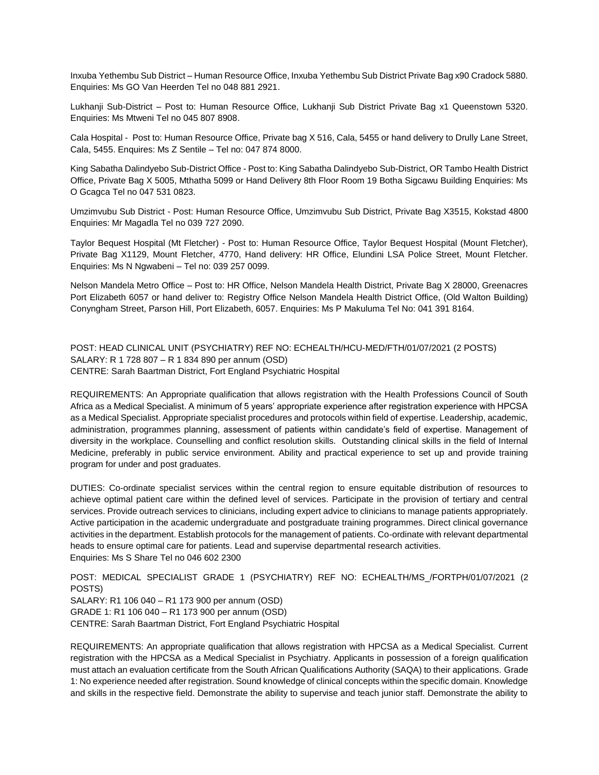Inxuba Yethembu Sub District – Human Resource Office, Inxuba Yethembu Sub District Private Bag x90 Cradock 5880. Enquiries: Ms GO Van Heerden Tel no 048 881 2921.

Lukhanji Sub-District – Post to: Human Resource Office, Lukhanji Sub District Private Bag x1 Queenstown 5320. Enquiries: Ms Mtweni Tel no 045 807 8908.

Cala Hospital - Post to: Human Resource Office, Private bag X 516, Cala, 5455 or hand delivery to Drully Lane Street, Cala, 5455. Enquires: Ms Z Sentile – Tel no: 047 874 8000.

King Sabatha Dalindyebo Sub-District Office - Post to: King Sabatha Dalindyebo Sub-District, OR Tambo Health District Office, Private Bag X 5005, Mthatha 5099 or Hand Delivery 8th Floor Room 19 Botha Sigcawu Building Enquiries: Ms O Gcagca Tel no 047 531 0823.

Umzimvubu Sub District - Post: Human Resource Office, Umzimvubu Sub District, Private Bag X3515, Kokstad 4800 Enquiries: Mr Magadla Tel no 039 727 2090.

Taylor Bequest Hospital (Mt Fletcher) - Post to: Human Resource Office, Taylor Bequest Hospital (Mount Fletcher), Private Bag X1129, Mount Fletcher, 4770, Hand delivery: HR Office, Elundini LSA Police Street, Mount Fletcher. Enquiries: Ms N Ngwabeni – Tel no: 039 257 0099.

Nelson Mandela Metro Office – Post to: HR Office, Nelson Mandela Health District, Private Bag X 28000, Greenacres Port Elizabeth 6057 or hand deliver to: Registry Office Nelson Mandela Health District Office, (Old Walton Building) Conyngham Street, Parson Hill, Port Elizabeth, 6057. Enquiries: Ms P Makuluma Tel No: 041 391 8164.

POST: HEAD CLINICAL UNIT (PSYCHIATRY) REF NO: ECHEALTH/HCU-MED/FTH/01/07/2021 (2 POSTS) SALARY: R 1 728 807 – R 1 834 890 per annum (OSD) CENTRE: Sarah Baartman District, Fort England Psychiatric Hospital

REQUIREMENTS: An Appropriate qualification that allows registration with the Health Professions Council of South Africa as a Medical Specialist. A minimum of 5 years' appropriate experience after registration experience with HPCSA as a Medical Specialist. Appropriate specialist procedures and protocols within field of expertise. Leadership, academic, administration, programmes planning, assessment of patients within candidate's field of expertise. Management of diversity in the workplace. Counselling and conflict resolution skills. Outstanding clinical skills in the field of Internal Medicine, preferably in public service environment. Ability and practical experience to set up and provide training program for under and post graduates.

DUTIES: Co-ordinate specialist services within the central region to ensure equitable distribution of resources to achieve optimal patient care within the defined level of services. Participate in the provision of tertiary and central services. Provide outreach services to clinicians, including expert advice to clinicians to manage patients appropriately. Active participation in the academic undergraduate and postgraduate training programmes. Direct clinical governance activities in the department. Establish protocols for the management of patients. Co-ordinate with relevant departmental heads to ensure optimal care for patients. Lead and supervise departmental research activities. Enquiries: Ms S Share Tel no 046 602 2300

POST: MEDICAL SPECIALIST GRADE 1 (PSYCHIATRY) REF NO: ECHEALTH/MS\_/FORTPH/01/07/2021 (2 POSTS) SALARY: R1 106 040 – R1 173 900 per annum (OSD) GRADE 1: R1 106 040 – R1 173 900 per annum (OSD) CENTRE: Sarah Baartman District, Fort England Psychiatric Hospital

REQUIREMENTS: An appropriate qualification that allows registration with HPCSA as a Medical Specialist. Current registration with the HPCSA as a Medical Specialist in Psychiatry. Applicants in possession of a foreign qualification must attach an evaluation certificate from the South African Qualifications Authority (SAQA) to their applications. Grade 1: No experience needed after registration. Sound knowledge of clinical concepts within the specific domain. Knowledge and skills in the respective field. Demonstrate the ability to supervise and teach junior staff. Demonstrate the ability to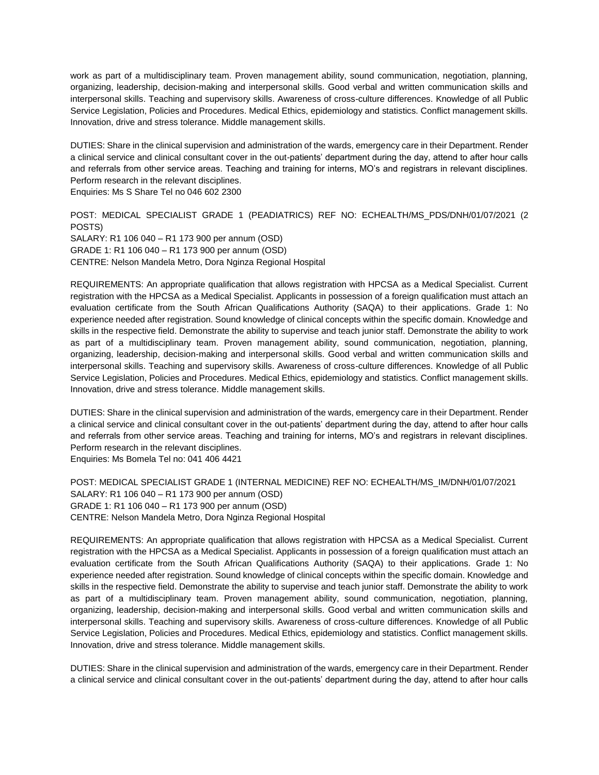work as part of a multidisciplinary team. Proven management ability, sound communication, negotiation, planning, organizing, leadership, decision-making and interpersonal skills. Good verbal and written communication skills and interpersonal skills. Teaching and supervisory skills. Awareness of cross-culture differences. Knowledge of all Public Service Legislation, Policies and Procedures. Medical Ethics, epidemiology and statistics. Conflict management skills. Innovation, drive and stress tolerance. Middle management skills.

DUTIES: Share in the clinical supervision and administration of the wards, emergency care in their Department. Render a clinical service and clinical consultant cover in the out-patients' department during the day, attend to after hour calls and referrals from other service areas. Teaching and training for interns, MO's and registrars in relevant disciplines. Perform research in the relevant disciplines.

Enquiries: Ms S Share Tel no 046 602 2300

POST: MEDICAL SPECIALIST GRADE 1 (PEADIATRICS) REF NO: ECHEALTH/MS\_PDS/DNH/01/07/2021 (2 POSTS) SALARY: R1 106 040 – R1 173 900 per annum (OSD) GRADE 1: R1 106 040 – R1 173 900 per annum (OSD) CENTRE: Nelson Mandela Metro, Dora Nginza Regional Hospital

REQUIREMENTS: An appropriate qualification that allows registration with HPCSA as a Medical Specialist. Current registration with the HPCSA as a Medical Specialist. Applicants in possession of a foreign qualification must attach an evaluation certificate from the South African Qualifications Authority (SAQA) to their applications. Grade 1: No experience needed after registration. Sound knowledge of clinical concepts within the specific domain. Knowledge and skills in the respective field. Demonstrate the ability to supervise and teach junior staff. Demonstrate the ability to work as part of a multidisciplinary team. Proven management ability, sound communication, negotiation, planning, organizing, leadership, decision-making and interpersonal skills. Good verbal and written communication skills and interpersonal skills. Teaching and supervisory skills. Awareness of cross-culture differences. Knowledge of all Public Service Legislation, Policies and Procedures. Medical Ethics, epidemiology and statistics. Conflict management skills. Innovation, drive and stress tolerance. Middle management skills.

DUTIES: Share in the clinical supervision and administration of the wards, emergency care in their Department. Render a clinical service and clinical consultant cover in the out-patients' department during the day, attend to after hour calls and referrals from other service areas. Teaching and training for interns, MO's and registrars in relevant disciplines. Perform research in the relevant disciplines.

Enquiries: Ms Bomela Tel no: 041 406 4421

POST: MEDICAL SPECIALIST GRADE 1 (INTERNAL MEDICINE) REF NO: ECHEALTH/MS\_IM/DNH/01/07/2021 SALARY: R1 106 040 – R1 173 900 per annum (OSD) GRADE 1: R1 106 040 – R1 173 900 per annum (OSD) CENTRE: Nelson Mandela Metro, Dora Nginza Regional Hospital

REQUIREMENTS: An appropriate qualification that allows registration with HPCSA as a Medical Specialist. Current registration with the HPCSA as a Medical Specialist. Applicants in possession of a foreign qualification must attach an evaluation certificate from the South African Qualifications Authority (SAQA) to their applications. Grade 1: No experience needed after registration. Sound knowledge of clinical concepts within the specific domain. Knowledge and skills in the respective field. Demonstrate the ability to supervise and teach junior staff. Demonstrate the ability to work as part of a multidisciplinary team. Proven management ability, sound communication, negotiation, planning, organizing, leadership, decision-making and interpersonal skills. Good verbal and written communication skills and interpersonal skills. Teaching and supervisory skills. Awareness of cross-culture differences. Knowledge of all Public Service Legislation, Policies and Procedures. Medical Ethics, epidemiology and statistics. Conflict management skills. Innovation, drive and stress tolerance. Middle management skills.

DUTIES: Share in the clinical supervision and administration of the wards, emergency care in their Department. Render a clinical service and clinical consultant cover in the out-patients' department during the day, attend to after hour calls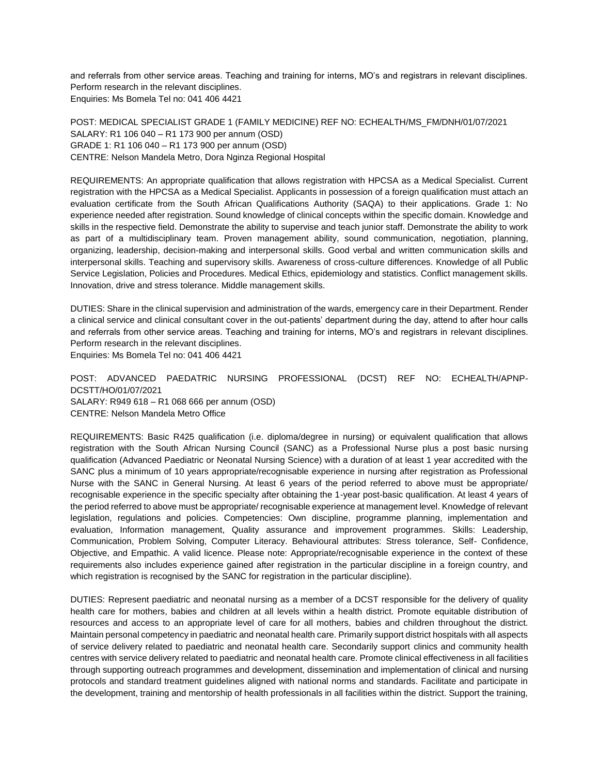and referrals from other service areas. Teaching and training for interns, MO's and registrars in relevant disciplines. Perform research in the relevant disciplines. Enquiries: Ms Bomela Tel no: 041 406 4421

POST: MEDICAL SPECIALIST GRADE 1 (FAMILY MEDICINE) REF NO: ECHEALTH/MS\_FM/DNH/01/07/2021 SALARY: R1 106 040 – R1 173 900 per annum (OSD) GRADE 1: R1 106 040 – R1 173 900 per annum (OSD) CENTRE: Nelson Mandela Metro, Dora Nginza Regional Hospital

REQUIREMENTS: An appropriate qualification that allows registration with HPCSA as a Medical Specialist. Current registration with the HPCSA as a Medical Specialist. Applicants in possession of a foreign qualification must attach an evaluation certificate from the South African Qualifications Authority (SAQA) to their applications. Grade 1: No experience needed after registration. Sound knowledge of clinical concepts within the specific domain. Knowledge and skills in the respective field. Demonstrate the ability to supervise and teach junior staff. Demonstrate the ability to work as part of a multidisciplinary team. Proven management ability, sound communication, negotiation, planning, organizing, leadership, decision-making and interpersonal skills. Good verbal and written communication skills and interpersonal skills. Teaching and supervisory skills. Awareness of cross-culture differences. Knowledge of all Public Service Legislation, Policies and Procedures. Medical Ethics, epidemiology and statistics. Conflict management skills. Innovation, drive and stress tolerance. Middle management skills.

DUTIES: Share in the clinical supervision and administration of the wards, emergency care in their Department. Render a clinical service and clinical consultant cover in the out-patients' department during the day, attend to after hour calls and referrals from other service areas. Teaching and training for interns, MO's and registrars in relevant disciplines. Perform research in the relevant disciplines.

Enquiries: Ms Bomela Tel no: 041 406 4421

POST: ADVANCED PAEDATRIC NURSING PROFESSIONAL (DCST) REF NO: ECHEALTH/APNP-DCSTT/HO/01/07/2021 SALARY: R949 618 – R1 068 666 per annum (OSD) CENTRE: Nelson Mandela Metro Office

REQUIREMENTS: Basic R425 qualification (i.e. diploma/degree in nursing) or equivalent qualification that allows registration with the South African Nursing Council (SANC) as a Professional Nurse plus a post basic nursing qualification (Advanced Paediatric or Neonatal Nursing Science) with a duration of at least 1 year accredited with the SANC plus a minimum of 10 years appropriate/recognisable experience in nursing after registration as Professional Nurse with the SANC in General Nursing. At least 6 years of the period referred to above must be appropriate/ recognisable experience in the specific specialty after obtaining the 1-year post-basic qualification. At least 4 years of the period referred to above must be appropriate/ recognisable experience at management level. Knowledge of relevant legislation, regulations and policies. Competencies: Own discipline, programme planning, implementation and evaluation, Information management, Quality assurance and improvement programmes. Skills: Leadership, Communication, Problem Solving, Computer Literacy. Behavioural attributes: Stress tolerance, Self- Confidence, Objective, and Empathic. A valid licence. Please note: Appropriate/recognisable experience in the context of these requirements also includes experience gained after registration in the particular discipline in a foreign country, and which registration is recognised by the SANC for registration in the particular discipline).

DUTIES: Represent paediatric and neonatal nursing as a member of a DCST responsible for the delivery of quality health care for mothers, babies and children at all levels within a health district. Promote equitable distribution of resources and access to an appropriate level of care for all mothers, babies and children throughout the district. Maintain personal competency in paediatric and neonatal health care. Primarily support district hospitals with all aspects of service delivery related to paediatric and neonatal health care. Secondarily support clinics and community health centres with service delivery related to paediatric and neonatal health care. Promote clinical effectiveness in all facilities through supporting outreach programmes and development, dissemination and implementation of clinical and nursing protocols and standard treatment guidelines aligned with national norms and standards. Facilitate and participate in the development, training and mentorship of health professionals in all facilities within the district. Support the training,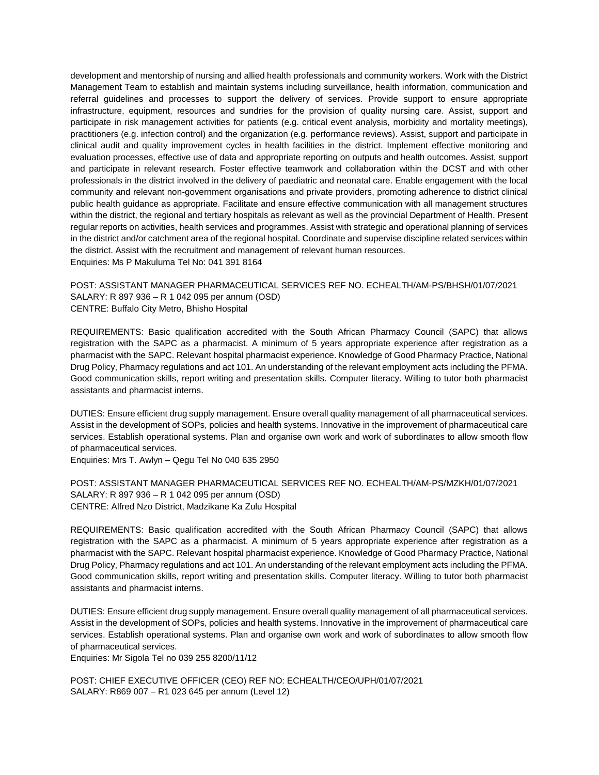development and mentorship of nursing and allied health professionals and community workers. Work with the District Management Team to establish and maintain systems including surveillance, health information, communication and referral guidelines and processes to support the delivery of services. Provide support to ensure appropriate infrastructure, equipment, resources and sundries for the provision of quality nursing care. Assist, support and participate in risk management activities for patients (e.g. critical event analysis, morbidity and mortality meetings), practitioners (e.g. infection control) and the organization (e.g. performance reviews). Assist, support and participate in clinical audit and quality improvement cycles in health facilities in the district. Implement effective monitoring and evaluation processes, effective use of data and appropriate reporting on outputs and health outcomes. Assist, support and participate in relevant research. Foster effective teamwork and collaboration within the DCST and with other professionals in the district involved in the delivery of paediatric and neonatal care. Enable engagement with the local community and relevant non-government organisations and private providers, promoting adherence to district clinical public health guidance as appropriate. Facilitate and ensure effective communication with all management structures within the district, the regional and tertiary hospitals as relevant as well as the provincial Department of Health. Present regular reports on activities, health services and programmes. Assist with strategic and operational planning of services in the district and/or catchment area of the regional hospital. Coordinate and supervise discipline related services within the district. Assist with the recruitment and management of relevant human resources. Enquiries: Ms P Makuluma Tel No: 041 391 8164

POST: ASSISTANT MANAGER PHARMACEUTICAL SERVICES REF NO. ECHEALTH/AM-PS/BHSH/01/07/2021 SALARY: R 897 936 – R 1 042 095 per annum (OSD) CENTRE: Buffalo City Metro, Bhisho Hospital

REQUIREMENTS: Basic qualification accredited with the South African Pharmacy Council (SAPC) that allows registration with the SAPC as a pharmacist. A minimum of 5 years appropriate experience after registration as a pharmacist with the SAPC. Relevant hospital pharmacist experience. Knowledge of Good Pharmacy Practice, National Drug Policy, Pharmacy regulations and act 101. An understanding of the relevant employment acts including the PFMA. Good communication skills, report writing and presentation skills. Computer literacy. Willing to tutor both pharmacist assistants and pharmacist interns.

DUTIES: Ensure efficient drug supply management. Ensure overall quality management of all pharmaceutical services. Assist in the development of SOPs, policies and health systems. Innovative in the improvement of pharmaceutical care services. Establish operational systems. Plan and organise own work and work of subordinates to allow smooth flow of pharmaceutical services.

Enquiries: Mrs T. Awlyn – Qegu Tel No 040 635 2950

POST: ASSISTANT MANAGER PHARMACEUTICAL SERVICES REF NO. ECHEALTH/AM-PS/MZKH/01/07/2021 SALARY: R 897 936 – R 1 042 095 per annum (OSD) CENTRE: Alfred Nzo District, Madzikane Ka Zulu Hospital

REQUIREMENTS: Basic qualification accredited with the South African Pharmacy Council (SAPC) that allows registration with the SAPC as a pharmacist. A minimum of 5 years appropriate experience after registration as a pharmacist with the SAPC. Relevant hospital pharmacist experience. Knowledge of Good Pharmacy Practice, National Drug Policy, Pharmacy regulations and act 101. An understanding of the relevant employment acts including the PFMA. Good communication skills, report writing and presentation skills. Computer literacy. Willing to tutor both pharmacist assistants and pharmacist interns.

DUTIES: Ensure efficient drug supply management. Ensure overall quality management of all pharmaceutical services. Assist in the development of SOPs, policies and health systems. Innovative in the improvement of pharmaceutical care services. Establish operational systems. Plan and organise own work and work of subordinates to allow smooth flow of pharmaceutical services.

Enquiries: Mr Sigola Tel no 039 255 8200/11/12

POST: CHIEF EXECUTIVE OFFICER (CEO) REF NO: ECHEALTH/CEO/UPH/01/07/2021 SALARY: R869 007 – R1 023 645 per annum (Level 12)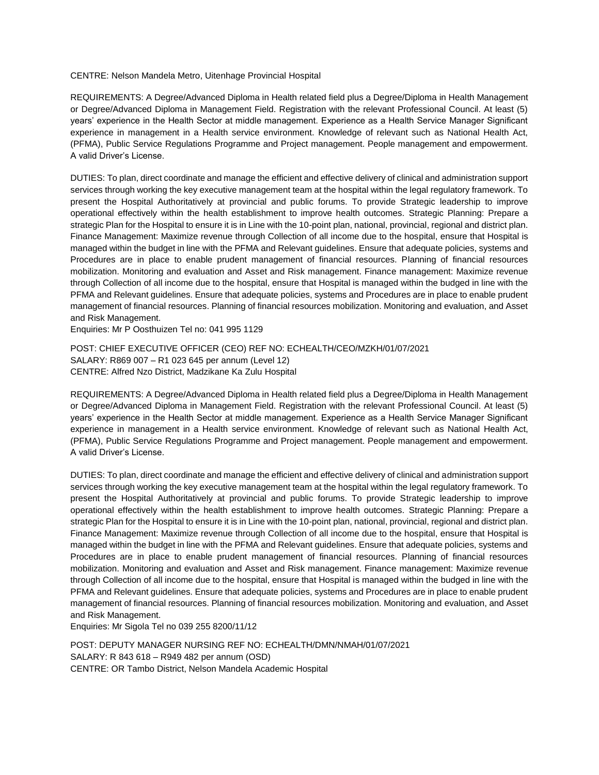### CENTRE: Nelson Mandela Metro, Uitenhage Provincial Hospital

REQUIREMENTS: A Degree/Advanced Diploma in Health related field plus a Degree/Diploma in Health Management or Degree/Advanced Diploma in Management Field. Registration with the relevant Professional Council. At least (5) years' experience in the Health Sector at middle management. Experience as a Health Service Manager Significant experience in management in a Health service environment. Knowledge of relevant such as National Health Act, (PFMA), Public Service Regulations Programme and Project management. People management and empowerment. A valid Driver's License.

DUTIES: To plan, direct coordinate and manage the efficient and effective delivery of clinical and administration support services through working the key executive management team at the hospital within the legal regulatory framework. To present the Hospital Authoritatively at provincial and public forums. To provide Strategic leadership to improve operational effectively within the health establishment to improve health outcomes. Strategic Planning: Prepare a strategic Plan for the Hospital to ensure it is in Line with the 10-point plan, national, provincial, regional and district plan. Finance Management: Maximize revenue through Collection of all income due to the hospital, ensure that Hospital is managed within the budget in line with the PFMA and Relevant guidelines. Ensure that adequate policies, systems and Procedures are in place to enable prudent management of financial resources. Planning of financial resources mobilization. Monitoring and evaluation and Asset and Risk management. Finance management: Maximize revenue through Collection of all income due to the hospital, ensure that Hospital is managed within the budged in line with the PFMA and Relevant guidelines. Ensure that adequate policies, systems and Procedures are in place to enable prudent management of financial resources. Planning of financial resources mobilization. Monitoring and evaluation, and Asset and Risk Management.

Enquiries: Mr P Oosthuizen Tel no: 041 995 1129

POST: CHIEF EXECUTIVE OFFICER (CEO) REF NO: ECHEALTH/CEO/MZKH/01/07/2021 SALARY: R869 007 – R1 023 645 per annum (Level 12) CENTRE: Alfred Nzo District, Madzikane Ka Zulu Hospital

REQUIREMENTS: A Degree/Advanced Diploma in Health related field plus a Degree/Diploma in Health Management or Degree/Advanced Diploma in Management Field. Registration with the relevant Professional Council. At least (5) years' experience in the Health Sector at middle management. Experience as a Health Service Manager Significant experience in management in a Health service environment. Knowledge of relevant such as National Health Act, (PFMA), Public Service Regulations Programme and Project management. People management and empowerment. A valid Driver's License.

DUTIES: To plan, direct coordinate and manage the efficient and effective delivery of clinical and administration support services through working the key executive management team at the hospital within the legal regulatory framework. To present the Hospital Authoritatively at provincial and public forums. To provide Strategic leadership to improve operational effectively within the health establishment to improve health outcomes. Strategic Planning: Prepare a strategic Plan for the Hospital to ensure it is in Line with the 10-point plan, national, provincial, regional and district plan. Finance Management: Maximize revenue through Collection of all income due to the hospital, ensure that Hospital is managed within the budget in line with the PFMA and Relevant guidelines. Ensure that adequate policies, systems and Procedures are in place to enable prudent management of financial resources. Planning of financial resources mobilization. Monitoring and evaluation and Asset and Risk management. Finance management: Maximize revenue through Collection of all income due to the hospital, ensure that Hospital is managed within the budged in line with the PFMA and Relevant guidelines. Ensure that adequate policies, systems and Procedures are in place to enable prudent management of financial resources. Planning of financial resources mobilization. Monitoring and evaluation, and Asset and Risk Management.

Enquiries: Mr Sigola Tel no 039 255 8200/11/12

POST: DEPUTY MANAGER NURSING REF NO: ECHEALTH/DMN/NMAH/01/07/2021 SALARY: R 843 618 – R949 482 per annum (OSD) CENTRE: OR Tambo District, Nelson Mandela Academic Hospital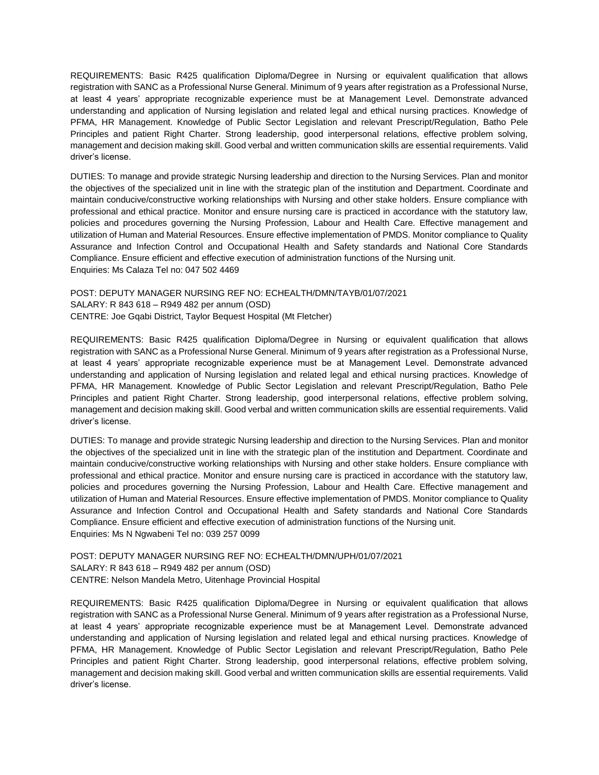REQUIREMENTS: Basic R425 qualification Diploma/Degree in Nursing or equivalent qualification that allows registration with SANC as a Professional Nurse General. Minimum of 9 years after registration as a Professional Nurse, at least 4 years' appropriate recognizable experience must be at Management Level. Demonstrate advanced understanding and application of Nursing legislation and related legal and ethical nursing practices. Knowledge of PFMA, HR Management. Knowledge of Public Sector Legislation and relevant Prescript/Regulation, Batho Pele Principles and patient Right Charter. Strong leadership, good interpersonal relations, effective problem solving, management and decision making skill. Good verbal and written communication skills are essential requirements. Valid driver's license.

DUTIES: To manage and provide strategic Nursing leadership and direction to the Nursing Services. Plan and monitor the objectives of the specialized unit in line with the strategic plan of the institution and Department. Coordinate and maintain conducive/constructive working relationships with Nursing and other stake holders. Ensure compliance with professional and ethical practice. Monitor and ensure nursing care is practiced in accordance with the statutory law, policies and procedures governing the Nursing Profession, Labour and Health Care. Effective management and utilization of Human and Material Resources. Ensure effective implementation of PMDS. Monitor compliance to Quality Assurance and Infection Control and Occupational Health and Safety standards and National Core Standards Compliance. Ensure efficient and effective execution of administration functions of the Nursing unit. Enquiries: Ms Calaza Tel no: 047 502 4469

POST: DEPUTY MANAGER NURSING REF NO: ECHEALTH/DMN/TAYB/01/07/2021 SALARY: R 843 618 – R949 482 per annum (OSD) CENTRE: Joe Gqabi District, Taylor Bequest Hospital (Mt Fletcher)

REQUIREMENTS: Basic R425 qualification Diploma/Degree in Nursing or equivalent qualification that allows registration with SANC as a Professional Nurse General. Minimum of 9 years after registration as a Professional Nurse, at least 4 years' appropriate recognizable experience must be at Management Level. Demonstrate advanced understanding and application of Nursing legislation and related legal and ethical nursing practices. Knowledge of PFMA, HR Management. Knowledge of Public Sector Legislation and relevant Prescript/Regulation, Batho Pele Principles and patient Right Charter. Strong leadership, good interpersonal relations, effective problem solving, management and decision making skill. Good verbal and written communication skills are essential requirements. Valid driver's license.

DUTIES: To manage and provide strategic Nursing leadership and direction to the Nursing Services. Plan and monitor the objectives of the specialized unit in line with the strategic plan of the institution and Department. Coordinate and maintain conducive/constructive working relationships with Nursing and other stake holders. Ensure compliance with professional and ethical practice. Monitor and ensure nursing care is practiced in accordance with the statutory law, policies and procedures governing the Nursing Profession, Labour and Health Care. Effective management and utilization of Human and Material Resources. Ensure effective implementation of PMDS. Monitor compliance to Quality Assurance and Infection Control and Occupational Health and Safety standards and National Core Standards Compliance. Ensure efficient and effective execution of administration functions of the Nursing unit. Enquiries: Ms N Ngwabeni Tel no: 039 257 0099

POST: DEPUTY MANAGER NURSING REF NO: ECHEALTH/DMN/UPH/01/07/2021 SALARY: R 843 618 – R949 482 per annum (OSD) CENTRE: Nelson Mandela Metro, Uitenhage Provincial Hospital

REQUIREMENTS: Basic R425 qualification Diploma/Degree in Nursing or equivalent qualification that allows registration with SANC as a Professional Nurse General. Minimum of 9 years after registration as a Professional Nurse, at least 4 years' appropriate recognizable experience must be at Management Level. Demonstrate advanced understanding and application of Nursing legislation and related legal and ethical nursing practices. Knowledge of PFMA, HR Management. Knowledge of Public Sector Legislation and relevant Prescript/Regulation, Batho Pele Principles and patient Right Charter. Strong leadership, good interpersonal relations, effective problem solving, management and decision making skill. Good verbal and written communication skills are essential requirements. Valid driver's license.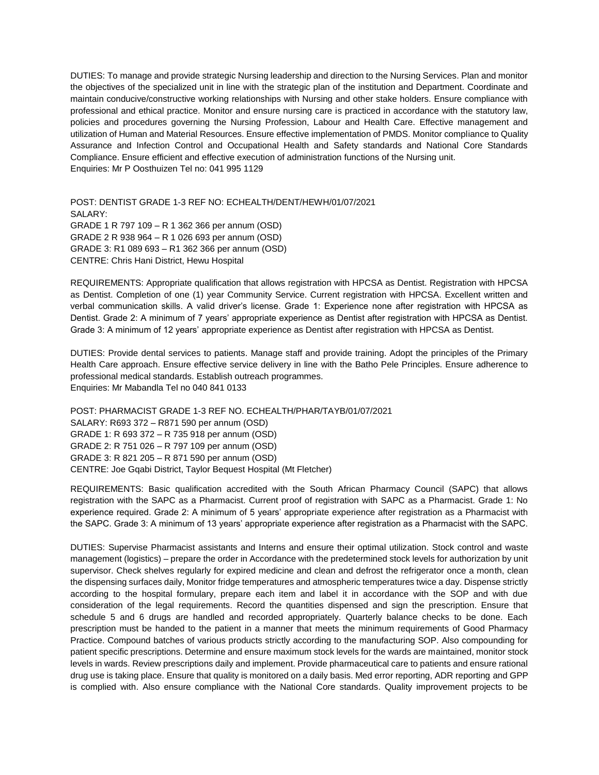DUTIES: To manage and provide strategic Nursing leadership and direction to the Nursing Services. Plan and monitor the objectives of the specialized unit in line with the strategic plan of the institution and Department. Coordinate and maintain conducive/constructive working relationships with Nursing and other stake holders. Ensure compliance with professional and ethical practice. Monitor and ensure nursing care is practiced in accordance with the statutory law, policies and procedures governing the Nursing Profession, Labour and Health Care. Effective management and utilization of Human and Material Resources. Ensure effective implementation of PMDS. Monitor compliance to Quality Assurance and Infection Control and Occupational Health and Safety standards and National Core Standards Compliance. Ensure efficient and effective execution of administration functions of the Nursing unit. Enquiries: Mr P Oosthuizen Tel no: 041 995 1129

POST: DENTIST GRADE 1-3 REF NO: ECHEALTH/DENT/HEWH/01/07/2021 SALARY: GRADE 1 R 797 109 – R 1 362 366 per annum (OSD) GRADE 2 R 938 964 – R 1 026 693 per annum (OSD) GRADE 3: R1 089 693 – R1 362 366 per annum (OSD) CENTRE: Chris Hani District, Hewu Hospital

REQUIREMENTS: Appropriate qualification that allows registration with HPCSA as Dentist. Registration with HPCSA as Dentist. Completion of one (1) year Community Service. Current registration with HPCSA. Excellent written and verbal communication skills. A valid driver's license. Grade 1: Experience none after registration with HPCSA as Dentist. Grade 2: A minimum of 7 years' appropriate experience as Dentist after registration with HPCSA as Dentist. Grade 3: A minimum of 12 years' appropriate experience as Dentist after registration with HPCSA as Dentist.

DUTIES: Provide dental services to patients. Manage staff and provide training. Adopt the principles of the Primary Health Care approach. Ensure effective service delivery in line with the Batho Pele Principles. Ensure adherence to professional medical standards. Establish outreach programmes. Enquiries: Mr Mabandla Tel no 040 841 0133

POST: PHARMACIST GRADE 1-3 REF NO. ECHEALTH/PHAR/TAYB/01/07/2021 SALARY: R693 372 – R871 590 per annum (OSD) GRADE 1: R 693 372 – R 735 918 per annum (OSD) GRADE 2: R 751 026 – R 797 109 per annum (OSD) GRADE 3: R 821 205 – R 871 590 per annum (OSD) CENTRE: Joe Gqabi District, Taylor Bequest Hospital (Mt Fletcher)

REQUIREMENTS: Basic qualification accredited with the South African Pharmacy Council (SAPC) that allows registration with the SAPC as a Pharmacist. Current proof of registration with SAPC as a Pharmacist. Grade 1: No experience required. Grade 2: A minimum of 5 years' appropriate experience after registration as a Pharmacist with the SAPC. Grade 3: A minimum of 13 years' appropriate experience after registration as a Pharmacist with the SAPC.

DUTIES: Supervise Pharmacist assistants and Interns and ensure their optimal utilization. Stock control and waste management (logistics) – prepare the order in Accordance with the predetermined stock levels for authorization by unit supervisor. Check shelves regularly for expired medicine and clean and defrost the refrigerator once a month, clean the dispensing surfaces daily, Monitor fridge temperatures and atmospheric temperatures twice a day. Dispense strictly according to the hospital formulary, prepare each item and label it in accordance with the SOP and with due consideration of the legal requirements. Record the quantities dispensed and sign the prescription. Ensure that schedule 5 and 6 drugs are handled and recorded appropriately. Quarterly balance checks to be done. Each prescription must be handed to the patient in a manner that meets the minimum requirements of Good Pharmacy Practice. Compound batches of various products strictly according to the manufacturing SOP. Also compounding for patient specific prescriptions. Determine and ensure maximum stock levels for the wards are maintained, monitor stock levels in wards. Review prescriptions daily and implement. Provide pharmaceutical care to patients and ensure rational drug use is taking place. Ensure that quality is monitored on a daily basis. Med error reporting, ADR reporting and GPP is complied with. Also ensure compliance with the National Core standards. Quality improvement projects to be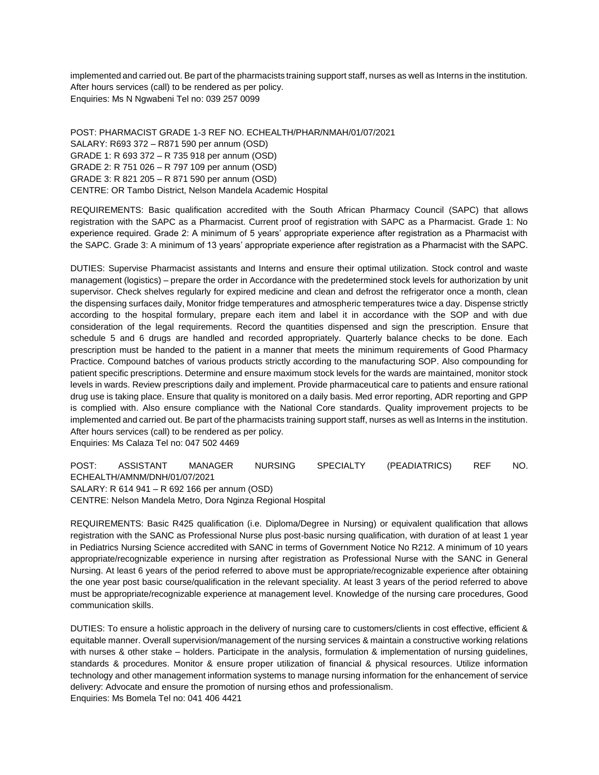implemented and carried out. Be part of the pharmacists training support staff, nurses as well as Interns in the institution. After hours services (call) to be rendered as per policy. Enquiries: Ms N Ngwabeni Tel no: 039 257 0099

POST: PHARMACIST GRADE 1-3 REF NO. ECHEALTH/PHAR/NMAH/01/07/2021 SALARY: R693 372 – R871 590 per annum (OSD) GRADE 1: R 693 372 – R 735 918 per annum (OSD) GRADE 2: R 751 026 – R 797 109 per annum (OSD) GRADE 3: R 821 205 – R 871 590 per annum (OSD) CENTRE: OR Tambo District, Nelson Mandela Academic Hospital

REQUIREMENTS: Basic qualification accredited with the South African Pharmacy Council (SAPC) that allows registration with the SAPC as a Pharmacist. Current proof of registration with SAPC as a Pharmacist. Grade 1: No experience required. Grade 2: A minimum of 5 years' appropriate experience after registration as a Pharmacist with the SAPC. Grade 3: A minimum of 13 years' appropriate experience after registration as a Pharmacist with the SAPC.

DUTIES: Supervise Pharmacist assistants and Interns and ensure their optimal utilization. Stock control and waste management (logistics) – prepare the order in Accordance with the predetermined stock levels for authorization by unit supervisor. Check shelves regularly for expired medicine and clean and defrost the refrigerator once a month, clean the dispensing surfaces daily, Monitor fridge temperatures and atmospheric temperatures twice a day. Dispense strictly according to the hospital formulary, prepare each item and label it in accordance with the SOP and with due consideration of the legal requirements. Record the quantities dispensed and sign the prescription. Ensure that schedule 5 and 6 drugs are handled and recorded appropriately. Quarterly balance checks to be done. Each prescription must be handed to the patient in a manner that meets the minimum requirements of Good Pharmacy Practice. Compound batches of various products strictly according to the manufacturing SOP. Also compounding for patient specific prescriptions. Determine and ensure maximum stock levels for the wards are maintained, monitor stock levels in wards. Review prescriptions daily and implement. Provide pharmaceutical care to patients and ensure rational drug use is taking place. Ensure that quality is monitored on a daily basis. Med error reporting, ADR reporting and GPP is complied with. Also ensure compliance with the National Core standards. Quality improvement projects to be implemented and carried out. Be part of the pharmacists training support staff, nurses as well as Interns in the institution. After hours services (call) to be rendered as per policy.

Enquiries: Ms Calaza Tel no: 047 502 4469

POST: ASSISTANT MANAGER NURSING SPECIALTY (PEADIATRICS) REF NO. ECHEALTH/AMNM/DNH/01/07/2021 SALARY: R 614 941 – R 692 166 per annum (OSD) CENTRE: Nelson Mandela Metro, Dora Nginza Regional Hospital

REQUIREMENTS: Basic R425 qualification (i.e. Diploma/Degree in Nursing) or equivalent qualification that allows registration with the SANC as Professional Nurse plus post-basic nursing qualification, with duration of at least 1 year in Pediatrics Nursing Science accredited with SANC in terms of Government Notice No R212. A minimum of 10 years appropriate/recognizable experience in nursing after registration as Professional Nurse with the SANC in General Nursing. At least 6 years of the period referred to above must be appropriate/recognizable experience after obtaining the one year post basic course/qualification in the relevant speciality. At least 3 years of the period referred to above must be appropriate/recognizable experience at management level. Knowledge of the nursing care procedures, Good communication skills.

DUTIES: To ensure a holistic approach in the delivery of nursing care to customers/clients in cost effective, efficient & equitable manner. Overall supervision/management of the nursing services & maintain a constructive working relations with nurses & other stake – holders. Participate in the analysis, formulation & implementation of nursing guidelines, standards & procedures. Monitor & ensure proper utilization of financial & physical resources. Utilize information technology and other management information systems to manage nursing information for the enhancement of service delivery: Advocate and ensure the promotion of nursing ethos and professionalism. Enquiries: Ms Bomela Tel no: 041 406 4421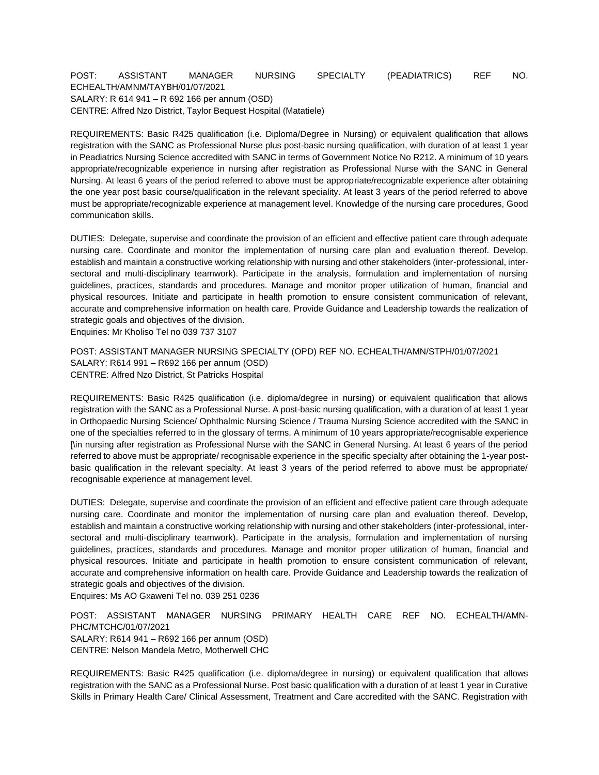## POST: ASSISTANT MANAGER NURSING SPECIALTY (PEADIATRICS) REF NO. ECHEALTH/AMNM/TAYBH/01/07/2021 SALARY: R 614 941 – R 692 166 per annum (OSD) CENTRE: Alfred Nzo District, Taylor Bequest Hospital (Matatiele)

REQUIREMENTS: Basic R425 qualification (i.e. Diploma/Degree in Nursing) or equivalent qualification that allows registration with the SANC as Professional Nurse plus post-basic nursing qualification, with duration of at least 1 year in Peadiatrics Nursing Science accredited with SANC in terms of Government Notice No R212. A minimum of 10 years appropriate/recognizable experience in nursing after registration as Professional Nurse with the SANC in General Nursing. At least 6 years of the period referred to above must be appropriate/recognizable experience after obtaining the one year post basic course/qualification in the relevant speciality. At least 3 years of the period referred to above must be appropriate/recognizable experience at management level. Knowledge of the nursing care procedures, Good communication skills.

DUTIES: Delegate, supervise and coordinate the provision of an efficient and effective patient care through adequate nursing care. Coordinate and monitor the implementation of nursing care plan and evaluation thereof. Develop, establish and maintain a constructive working relationship with nursing and other stakeholders (inter-professional, intersectoral and multi-disciplinary teamwork). Participate in the analysis, formulation and implementation of nursing guidelines, practices, standards and procedures. Manage and monitor proper utilization of human, financial and physical resources. Initiate and participate in health promotion to ensure consistent communication of relevant, accurate and comprehensive information on health care. Provide Guidance and Leadership towards the realization of strategic goals and objectives of the division.

Enquiries: Mr Kholiso Tel no 039 737 3107

POST: ASSISTANT MANAGER NURSING SPECIALTY (OPD) REF NO. ECHEALTH/AMN/STPH/01/07/2021 SALARY: R614 991 – R692 166 per annum (OSD) CENTRE: Alfred Nzo District, St Patricks Hospital

REQUIREMENTS: Basic R425 qualification (i.e. diploma/degree in nursing) or equivalent qualification that allows registration with the SANC as a Professional Nurse. A post-basic nursing qualification, with a duration of at least 1 year in Orthopaedic Nursing Science/ Ophthalmic Nursing Science / Trauma Nursing Science accredited with the SANC in one of the specialties referred to in the glossary of terms. A minimum of 10 years appropriate/recognisable experience [\in nursing after registration as Professional Nurse with the SANC in General Nursing. At least 6 years of the period referred to above must be appropriate/ recognisable experience in the specific specialty after obtaining the 1-year postbasic qualification in the relevant specialty. At least 3 years of the period referred to above must be appropriate/ recognisable experience at management level.

DUTIES: Delegate, supervise and coordinate the provision of an efficient and effective patient care through adequate nursing care. Coordinate and monitor the implementation of nursing care plan and evaluation thereof. Develop, establish and maintain a constructive working relationship with nursing and other stakeholders (inter-professional, intersectoral and multi-disciplinary teamwork). Participate in the analysis, formulation and implementation of nursing guidelines, practices, standards and procedures. Manage and monitor proper utilization of human, financial and physical resources. Initiate and participate in health promotion to ensure consistent communication of relevant, accurate and comprehensive information on health care. Provide Guidance and Leadership towards the realization of strategic goals and objectives of the division.

Enquires: Ms AO Gxaweni Tel no. 039 251 0236

POST: ASSISTANT MANAGER NURSING PRIMARY HEALTH CARE REF NO. ECHEALTH/AMN-PHC/MTCHC/01/07/2021 SALARY: R614 941 – R692 166 per annum (OSD) CENTRE: Nelson Mandela Metro, Motherwell CHC

REQUIREMENTS: Basic R425 qualification (i.e. diploma/degree in nursing) or equivalent qualification that allows registration with the SANC as a Professional Nurse. Post basic qualification with a duration of at least 1 year in Curative Skills in Primary Health Care/ Clinical Assessment, Treatment and Care accredited with the SANC. Registration with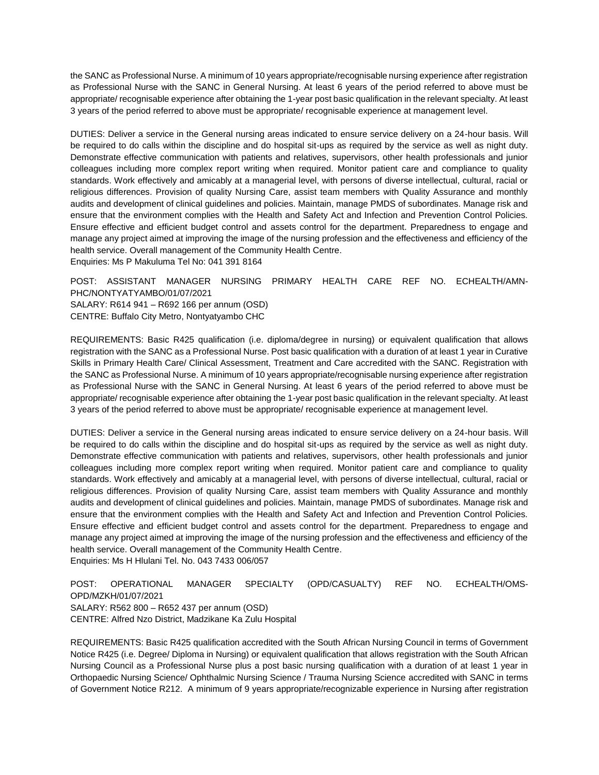the SANC as Professional Nurse. A minimum of 10 years appropriate/recognisable nursing experience after registration as Professional Nurse with the SANC in General Nursing. At least 6 years of the period referred to above must be appropriate/ recognisable experience after obtaining the 1-year post basic qualification in the relevant specialty. At least 3 years of the period referred to above must be appropriate/ recognisable experience at management level.

DUTIES: Deliver a service in the General nursing areas indicated to ensure service delivery on a 24-hour basis. Will be required to do calls within the discipline and do hospital sit-ups as required by the service as well as night duty. Demonstrate effective communication with patients and relatives, supervisors, other health professionals and junior colleagues including more complex report writing when required. Monitor patient care and compliance to quality standards. Work effectively and amicably at a managerial level, with persons of diverse intellectual, cultural, racial or religious differences. Provision of quality Nursing Care, assist team members with Quality Assurance and monthly audits and development of clinical guidelines and policies. Maintain, manage PMDS of subordinates. Manage risk and ensure that the environment complies with the Health and Safety Act and Infection and Prevention Control Policies. Ensure effective and efficient budget control and assets control for the department. Preparedness to engage and manage any project aimed at improving the image of the nursing profession and the effectiveness and efficiency of the health service. Overall management of the Community Health Centre.

Enquiries: Ms P Makuluma Tel No: 041 391 8164

POST: ASSISTANT MANAGER NURSING PRIMARY HEALTH CARE REF NO. ECHEALTH/AMN-PHC/NONTYATYAMBO/01/07/2021 SALARY: R614 941 – R692 166 per annum (OSD) CENTRE: Buffalo City Metro, Nontyatyambo CHC

REQUIREMENTS: Basic R425 qualification (i.e. diploma/degree in nursing) or equivalent qualification that allows registration with the SANC as a Professional Nurse. Post basic qualification with a duration of at least 1 year in Curative Skills in Primary Health Care/ Clinical Assessment, Treatment and Care accredited with the SANC. Registration with the SANC as Professional Nurse. A minimum of 10 years appropriate/recognisable nursing experience after registration as Professional Nurse with the SANC in General Nursing. At least 6 years of the period referred to above must be appropriate/ recognisable experience after obtaining the 1-year post basic qualification in the relevant specialty. At least 3 years of the period referred to above must be appropriate/ recognisable experience at management level.

DUTIES: Deliver a service in the General nursing areas indicated to ensure service delivery on a 24-hour basis. Will be required to do calls within the discipline and do hospital sit-ups as required by the service as well as night duty. Demonstrate effective communication with patients and relatives, supervisors, other health professionals and junior colleagues including more complex report writing when required. Monitor patient care and compliance to quality standards. Work effectively and amicably at a managerial level, with persons of diverse intellectual, cultural, racial or religious differences. Provision of quality Nursing Care, assist team members with Quality Assurance and monthly audits and development of clinical guidelines and policies. Maintain, manage PMDS of subordinates. Manage risk and ensure that the environment complies with the Health and Safety Act and Infection and Prevention Control Policies. Ensure effective and efficient budget control and assets control for the department. Preparedness to engage and manage any project aimed at improving the image of the nursing profession and the effectiveness and efficiency of the health service. Overall management of the Community Health Centre. Enquiries: Ms H Hlulani Tel. No. 043 7433 006/057

POST: OPERATIONAL MANAGER SPECIALTY (OPD/CASUALTY) REF NO. ECHEALTH/OMS-OPD/MZKH/01/07/2021 SALARY: R562 800 – R652 437 per annum (OSD) CENTRE: Alfred Nzo District, Madzikane Ka Zulu Hospital

REQUIREMENTS: Basic R425 qualification accredited with the South African Nursing Council in terms of Government Notice R425 (i.e. Degree/ Diploma in Nursing) or equivalent qualification that allows registration with the South African Nursing Council as a Professional Nurse plus a post basic nursing qualification with a duration of at least 1 year in Orthopaedic Nursing Science/ Ophthalmic Nursing Science / Trauma Nursing Science accredited with SANC in terms of Government Notice R212. A minimum of 9 years appropriate/recognizable experience in Nursing after registration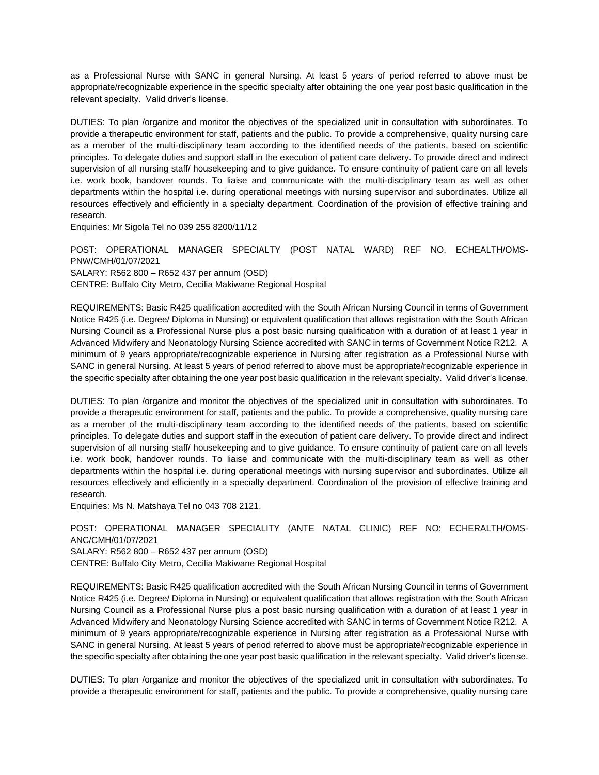as a Professional Nurse with SANC in general Nursing. At least 5 years of period referred to above must be appropriate/recognizable experience in the specific specialty after obtaining the one year post basic qualification in the relevant specialty. Valid driver's license.

DUTIES: To plan /organize and monitor the objectives of the specialized unit in consultation with subordinates. To provide a therapeutic environment for staff, patients and the public. To provide a comprehensive, quality nursing care as a member of the multi-disciplinary team according to the identified needs of the patients, based on scientific principles. To delegate duties and support staff in the execution of patient care delivery. To provide direct and indirect supervision of all nursing staff/ housekeeping and to give guidance. To ensure continuity of patient care on all levels i.e. work book, handover rounds. To liaise and communicate with the multi-disciplinary team as well as other departments within the hospital i.e. during operational meetings with nursing supervisor and subordinates. Utilize all resources effectively and efficiently in a specialty department. Coordination of the provision of effective training and research.

Enquiries: Mr Sigola Tel no 039 255 8200/11/12

POST: OPERATIONAL MANAGER SPECIALTY (POST NATAL WARD) REF NO. ECHEALTH/OMS-PNW/CMH/01/07/2021 SALARY: R562 800 – R652 437 per annum (OSD) CENTRE: Buffalo City Metro, Cecilia Makiwane Regional Hospital

REQUIREMENTS: Basic R425 qualification accredited with the South African Nursing Council in terms of Government Notice R425 (i.e. Degree/ Diploma in Nursing) or equivalent qualification that allows registration with the South African Nursing Council as a Professional Nurse plus a post basic nursing qualification with a duration of at least 1 year in Advanced Midwifery and Neonatology Nursing Science accredited with SANC in terms of Government Notice R212. A minimum of 9 years appropriate/recognizable experience in Nursing after registration as a Professional Nurse with SANC in general Nursing. At least 5 years of period referred to above must be appropriate/recognizable experience in the specific specialty after obtaining the one year post basic qualification in the relevant specialty. Valid driver's license.

DUTIES: To plan /organize and monitor the objectives of the specialized unit in consultation with subordinates. To provide a therapeutic environment for staff, patients and the public. To provide a comprehensive, quality nursing care as a member of the multi-disciplinary team according to the identified needs of the patients, based on scientific principles. To delegate duties and support staff in the execution of patient care delivery. To provide direct and indirect supervision of all nursing staff/ housekeeping and to give guidance. To ensure continuity of patient care on all levels i.e. work book, handover rounds. To liaise and communicate with the multi-disciplinary team as well as other departments within the hospital i.e. during operational meetings with nursing supervisor and subordinates. Utilize all resources effectively and efficiently in a specialty department. Coordination of the provision of effective training and research.

Enquiries: Ms N. Matshaya Tel no 043 708 2121.

POST: OPERATIONAL MANAGER SPECIALITY (ANTE NATAL CLINIC) REF NO: ECHERALTH/OMS-ANC/CMH/01/07/2021 SALARY: R562 800 – R652 437 per annum (OSD) CENTRE: Buffalo City Metro, Cecilia Makiwane Regional Hospital

REQUIREMENTS: Basic R425 qualification accredited with the South African Nursing Council in terms of Government Notice R425 (i.e. Degree/ Diploma in Nursing) or equivalent qualification that allows registration with the South African Nursing Council as a Professional Nurse plus a post basic nursing qualification with a duration of at least 1 year in Advanced Midwifery and Neonatology Nursing Science accredited with SANC in terms of Government Notice R212. A minimum of 9 years appropriate/recognizable experience in Nursing after registration as a Professional Nurse with SANC in general Nursing. At least 5 years of period referred to above must be appropriate/recognizable experience in the specific specialty after obtaining the one year post basic qualification in the relevant specialty. Valid driver's license.

DUTIES: To plan /organize and monitor the objectives of the specialized unit in consultation with subordinates. To provide a therapeutic environment for staff, patients and the public. To provide a comprehensive, quality nursing care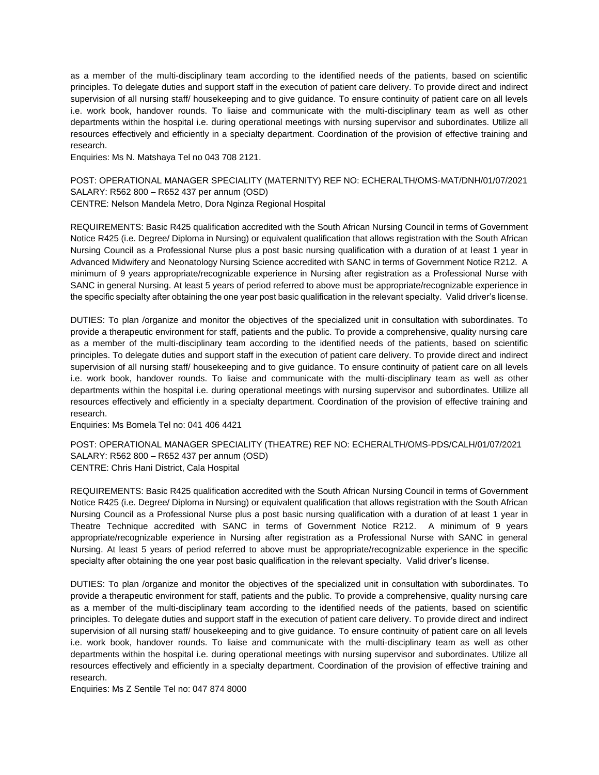as a member of the multi-disciplinary team according to the identified needs of the patients, based on scientific principles. To delegate duties and support staff in the execution of patient care delivery. To provide direct and indirect supervision of all nursing staff/ housekeeping and to give guidance. To ensure continuity of patient care on all levels i.e. work book, handover rounds. To liaise and communicate with the multi-disciplinary team as well as other departments within the hospital i.e. during operational meetings with nursing supervisor and subordinates. Utilize all resources effectively and efficiently in a specialty department. Coordination of the provision of effective training and research.

Enquiries: Ms N. Matshaya Tel no 043 708 2121.

POST: OPERATIONAL MANAGER SPECIALITY (MATERNITY) REF NO: ECHERALTH/OMS-MAT/DNH/01/07/2021 SALARY: R562 800 – R652 437 per annum (OSD) CENTRE: Nelson Mandela Metro, Dora Nginza Regional Hospital

REQUIREMENTS: Basic R425 qualification accredited with the South African Nursing Council in terms of Government Notice R425 (i.e. Degree/ Diploma in Nursing) or equivalent qualification that allows registration with the South African Nursing Council as a Professional Nurse plus a post basic nursing qualification with a duration of at least 1 year in Advanced Midwifery and Neonatology Nursing Science accredited with SANC in terms of Government Notice R212. A minimum of 9 years appropriate/recognizable experience in Nursing after registration as a Professional Nurse with SANC in general Nursing. At least 5 years of period referred to above must be appropriate/recognizable experience in the specific specialty after obtaining the one year post basic qualification in the relevant specialty. Valid driver's license.

DUTIES: To plan /organize and monitor the objectives of the specialized unit in consultation with subordinates. To provide a therapeutic environment for staff, patients and the public. To provide a comprehensive, quality nursing care as a member of the multi-disciplinary team according to the identified needs of the patients, based on scientific principles. To delegate duties and support staff in the execution of patient care delivery. To provide direct and indirect supervision of all nursing staff/ housekeeping and to give guidance. To ensure continuity of patient care on all levels i.e. work book, handover rounds. To liaise and communicate with the multi-disciplinary team as well as other departments within the hospital i.e. during operational meetings with nursing supervisor and subordinates. Utilize all resources effectively and efficiently in a specialty department. Coordination of the provision of effective training and research.

Enquiries: Ms Bomela Tel no: 041 406 4421

POST: OPERATIONAL MANAGER SPECIALITY (THEATRE) REF NO: ECHERALTH/OMS-PDS/CALH/01/07/2021 SALARY: R562 800 – R652 437 per annum (OSD) CENTRE: Chris Hani District, Cala Hospital

REQUIREMENTS: Basic R425 qualification accredited with the South African Nursing Council in terms of Government Notice R425 (i.e. Degree/ Diploma in Nursing) or equivalent qualification that allows registration with the South African Nursing Council as a Professional Nurse plus a post basic nursing qualification with a duration of at least 1 year in Theatre Technique accredited with SANC in terms of Government Notice R212. A minimum of 9 years appropriate/recognizable experience in Nursing after registration as a Professional Nurse with SANC in general Nursing. At least 5 years of period referred to above must be appropriate/recognizable experience in the specific specialty after obtaining the one year post basic qualification in the relevant specialty. Valid driver's license.

DUTIES: To plan /organize and monitor the objectives of the specialized unit in consultation with subordinates. To provide a therapeutic environment for staff, patients and the public. To provide a comprehensive, quality nursing care as a member of the multi-disciplinary team according to the identified needs of the patients, based on scientific principles. To delegate duties and support staff in the execution of patient care delivery. To provide direct and indirect supervision of all nursing staff/ housekeeping and to give guidance. To ensure continuity of patient care on all levels i.e. work book, handover rounds. To liaise and communicate with the multi-disciplinary team as well as other departments within the hospital i.e. during operational meetings with nursing supervisor and subordinates. Utilize all resources effectively and efficiently in a specialty department. Coordination of the provision of effective training and research.

Enquiries: Ms Z Sentile Tel no: 047 874 8000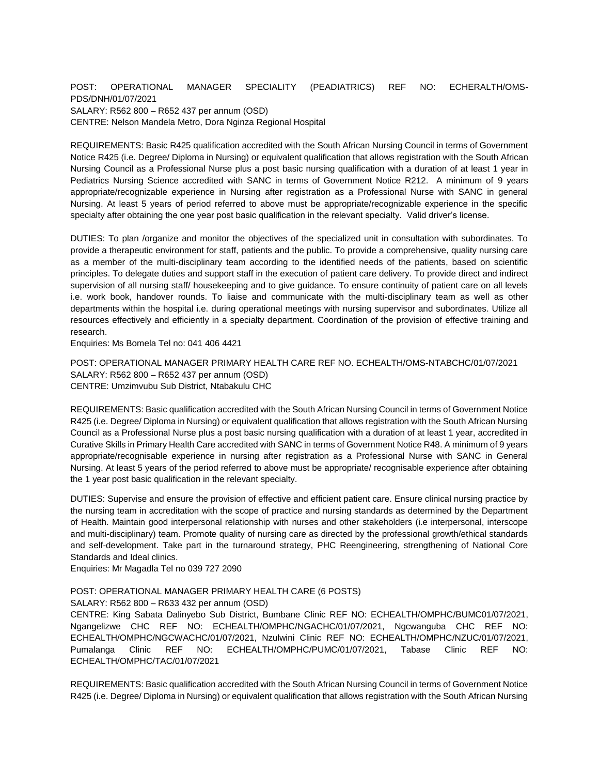### POST: OPERATIONAL MANAGER SPECIALITY (PEADIATRICS) REF NO: ECHERALTH/OMS-PDS/DNH/01/07/2021 SALARY: R562 800 – R652 437 per annum (OSD) CENTRE: Nelson Mandela Metro, Dora Nginza Regional Hospital

REQUIREMENTS: Basic R425 qualification accredited with the South African Nursing Council in terms of Government Notice R425 (i.e. Degree/ Diploma in Nursing) or equivalent qualification that allows registration with the South African Nursing Council as a Professional Nurse plus a post basic nursing qualification with a duration of at least 1 year in Pediatrics Nursing Science accredited with SANC in terms of Government Notice R212. A minimum of 9 years appropriate/recognizable experience in Nursing after registration as a Professional Nurse with SANC in general Nursing. At least 5 years of period referred to above must be appropriate/recognizable experience in the specific specialty after obtaining the one year post basic qualification in the relevant specialty. Valid driver's license.

DUTIES: To plan /organize and monitor the objectives of the specialized unit in consultation with subordinates. To provide a therapeutic environment for staff, patients and the public. To provide a comprehensive, quality nursing care as a member of the multi-disciplinary team according to the identified needs of the patients, based on scientific principles. To delegate duties and support staff in the execution of patient care delivery. To provide direct and indirect supervision of all nursing staff/ housekeeping and to give guidance. To ensure continuity of patient care on all levels i.e. work book, handover rounds. To liaise and communicate with the multi-disciplinary team as well as other departments within the hospital i.e. during operational meetings with nursing supervisor and subordinates. Utilize all resources effectively and efficiently in a specialty department. Coordination of the provision of effective training and research.

Enquiries: Ms Bomela Tel no: 041 406 4421

POST: OPERATIONAL MANAGER PRIMARY HEALTH CARE REF NO. ECHEALTH/OMS-NTABCHC/01/07/2021 SALARY: R562 800 – R652 437 per annum (OSD) CENTRE: Umzimvubu Sub District, Ntabakulu CHC

REQUIREMENTS: Basic qualification accredited with the South African Nursing Council in terms of Government Notice R425 (i.e. Degree/ Diploma in Nursing) or equivalent qualification that allows registration with the South African Nursing Council as a Professional Nurse plus a post basic nursing qualification with a duration of at least 1 year, accredited in Curative Skills in Primary Health Care accredited with SANC in terms of Government Notice R48. A minimum of 9 years appropriate/recognisable experience in nursing after registration as a Professional Nurse with SANC in General Nursing. At least 5 years of the period referred to above must be appropriate/ recognisable experience after obtaining the 1 year post basic qualification in the relevant specialty.

DUTIES: Supervise and ensure the provision of effective and efficient patient care. Ensure clinical nursing practice by the nursing team in accreditation with the scope of practice and nursing standards as determined by the Department of Health. Maintain good interpersonal relationship with nurses and other stakeholders (i.e interpersonal, interscope and multi-disciplinary) team. Promote quality of nursing care as directed by the professional growth/ethical standards and self-development. Take part in the turnaround strategy, PHC Reengineering, strengthening of National Core Standards and Ideal clinics.

Enquiries: Mr Magadla Tel no 039 727 2090

### POST: OPERATIONAL MANAGER PRIMARY HEALTH CARE (6 POSTS)

SALARY: R562 800 – R633 432 per annum (OSD)

CENTRE: King Sabata Dalinyebo Sub District, Bumbane Clinic REF NO: ECHEALTH/OMPHC/BUMC01/07/2021, Ngangelizwe CHC REF NO: ECHEALTH/OMPHC/NGACHC/01/07/2021, Ngcwanguba CHC REF NO: ECHEALTH/OMPHC/NGCWACHC/01/07/2021, Nzulwini Clinic REF NO: ECHEALTH/OMPHC/NZUC/01/07/2021, Pumalanga Clinic REF NO: ECHEALTH/OMPHC/PUMC/01/07/2021, Tabase Clinic REF NO: ECHEALTH/OMPHC/TAC/01/07/2021

REQUIREMENTS: Basic qualification accredited with the South African Nursing Council in terms of Government Notice R425 (i.e. Degree/ Diploma in Nursing) or equivalent qualification that allows registration with the South African Nursing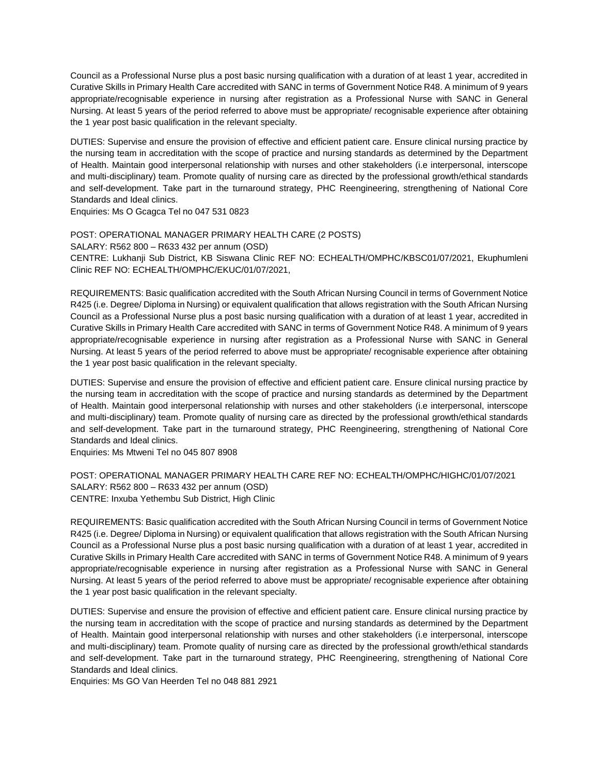Council as a Professional Nurse plus a post basic nursing qualification with a duration of at least 1 year, accredited in Curative Skills in Primary Health Care accredited with SANC in terms of Government Notice R48. A minimum of 9 years appropriate/recognisable experience in nursing after registration as a Professional Nurse with SANC in General Nursing. At least 5 years of the period referred to above must be appropriate/ recognisable experience after obtaining the 1 year post basic qualification in the relevant specialty.

DUTIES: Supervise and ensure the provision of effective and efficient patient care. Ensure clinical nursing practice by the nursing team in accreditation with the scope of practice and nursing standards as determined by the Department of Health. Maintain good interpersonal relationship with nurses and other stakeholders (i.e interpersonal, interscope and multi-disciplinary) team. Promote quality of nursing care as directed by the professional growth/ethical standards and self-development. Take part in the turnaround strategy, PHC Reengineering, strengthening of National Core Standards and Ideal clinics.

Enquiries: Ms O Gcagca Tel no 047 531 0823

POST: OPERATIONAL MANAGER PRIMARY HEALTH CARE (2 POSTS) SALARY: R562 800 – R633 432 per annum (OSD) CENTRE: Lukhanji Sub District, KB Siswana Clinic REF NO: ECHEALTH/OMPHC/KBSC01/07/2021, Ekuphumleni Clinic REF NO: ECHEALTH/OMPHC/EKUC/01/07/2021,

REQUIREMENTS: Basic qualification accredited with the South African Nursing Council in terms of Government Notice R425 (i.e. Degree/ Diploma in Nursing) or equivalent qualification that allows registration with the South African Nursing Council as a Professional Nurse plus a post basic nursing qualification with a duration of at least 1 year, accredited in Curative Skills in Primary Health Care accredited with SANC in terms of Government Notice R48. A minimum of 9 years appropriate/recognisable experience in nursing after registration as a Professional Nurse with SANC in General Nursing. At least 5 years of the period referred to above must be appropriate/ recognisable experience after obtaining the 1 year post basic qualification in the relevant specialty.

DUTIES: Supervise and ensure the provision of effective and efficient patient care. Ensure clinical nursing practice by the nursing team in accreditation with the scope of practice and nursing standards as determined by the Department of Health. Maintain good interpersonal relationship with nurses and other stakeholders (i.e interpersonal, interscope and multi-disciplinary) team. Promote quality of nursing care as directed by the professional growth/ethical standards and self-development. Take part in the turnaround strategy, PHC Reengineering, strengthening of National Core Standards and Ideal clinics.

Enquiries: Ms Mtweni Tel no 045 807 8908

POST: OPERATIONAL MANAGER PRIMARY HEALTH CARE REF NO: ECHEALTH/OMPHC/HIGHC/01/07/2021 SALARY: R562 800 – R633 432 per annum (OSD) CENTRE: Inxuba Yethembu Sub District, High Clinic

REQUIREMENTS: Basic qualification accredited with the South African Nursing Council in terms of Government Notice R425 (i.e. Degree/ Diploma in Nursing) or equivalent qualification that allows registration with the South African Nursing Council as a Professional Nurse plus a post basic nursing qualification with a duration of at least 1 year, accredited in Curative Skills in Primary Health Care accredited with SANC in terms of Government Notice R48. A minimum of 9 years appropriate/recognisable experience in nursing after registration as a Professional Nurse with SANC in General Nursing. At least 5 years of the period referred to above must be appropriate/ recognisable experience after obtaining the 1 year post basic qualification in the relevant specialty.

DUTIES: Supervise and ensure the provision of effective and efficient patient care. Ensure clinical nursing practice by the nursing team in accreditation with the scope of practice and nursing standards as determined by the Department of Health. Maintain good interpersonal relationship with nurses and other stakeholders (i.e interpersonal, interscope and multi-disciplinary) team. Promote quality of nursing care as directed by the professional growth/ethical standards and self-development. Take part in the turnaround strategy, PHC Reengineering, strengthening of National Core Standards and Ideal clinics.

Enquiries: Ms GO Van Heerden Tel no 048 881 2921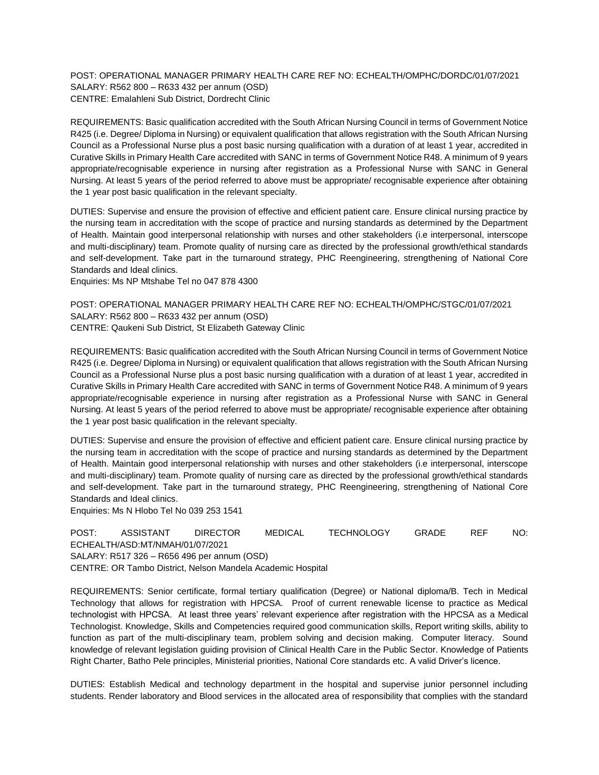POST: OPERATIONAL MANAGER PRIMARY HEALTH CARE REF NO: ECHEALTH/OMPHC/DORDC/01/07/2021 SALARY: R562 800 – R633 432 per annum (OSD) CENTRE: Emalahleni Sub District, Dordrecht Clinic

REQUIREMENTS: Basic qualification accredited with the South African Nursing Council in terms of Government Notice R425 (i.e. Degree/ Diploma in Nursing) or equivalent qualification that allows registration with the South African Nursing Council as a Professional Nurse plus a post basic nursing qualification with a duration of at least 1 year, accredited in Curative Skills in Primary Health Care accredited with SANC in terms of Government Notice R48. A minimum of 9 years appropriate/recognisable experience in nursing after registration as a Professional Nurse with SANC in General Nursing. At least 5 years of the period referred to above must be appropriate/ recognisable experience after obtaining the 1 year post basic qualification in the relevant specialty.

DUTIES: Supervise and ensure the provision of effective and efficient patient care. Ensure clinical nursing practice by the nursing team in accreditation with the scope of practice and nursing standards as determined by the Department of Health. Maintain good interpersonal relationship with nurses and other stakeholders (i.e interpersonal, interscope and multi-disciplinary) team. Promote quality of nursing care as directed by the professional growth/ethical standards and self-development. Take part in the turnaround strategy, PHC Reengineering, strengthening of National Core Standards and Ideal clinics.

Enquiries: Ms NP Mtshabe Tel no 047 878 4300

POST: OPERATIONAL MANAGER PRIMARY HEALTH CARE REF NO: ECHEALTH/OMPHC/STGC/01/07/2021 SALARY: R562 800 – R633 432 per annum (OSD) CENTRE: Qaukeni Sub District, St Elizabeth Gateway Clinic

REQUIREMENTS: Basic qualification accredited with the South African Nursing Council in terms of Government Notice R425 (i.e. Degree/ Diploma in Nursing) or equivalent qualification that allows registration with the South African Nursing Council as a Professional Nurse plus a post basic nursing qualification with a duration of at least 1 year, accredited in Curative Skills in Primary Health Care accredited with SANC in terms of Government Notice R48. A minimum of 9 years appropriate/recognisable experience in nursing after registration as a Professional Nurse with SANC in General Nursing. At least 5 years of the period referred to above must be appropriate/ recognisable experience after obtaining the 1 year post basic qualification in the relevant specialty.

DUTIES: Supervise and ensure the provision of effective and efficient patient care. Ensure clinical nursing practice by the nursing team in accreditation with the scope of practice and nursing standards as determined by the Department of Health. Maintain good interpersonal relationship with nurses and other stakeholders (i.e interpersonal, interscope and multi-disciplinary) team. Promote quality of nursing care as directed by the professional growth/ethical standards and self-development. Take part in the turnaround strategy, PHC Reengineering, strengthening of National Core Standards and Ideal clinics.

Enquiries: Ms N Hlobo Tel No 039 253 1541

POST: ASSISTANT DIRECTOR MEDICAL TECHNOLOGY GRADE REF NO: ECHEALTH/ASD:MT/NMAH/01/07/2021 SALARY: R517 326 – R656 496 per annum (OSD) CENTRE: OR Tambo District, Nelson Mandela Academic Hospital

REQUIREMENTS: Senior certificate, formal tertiary qualification (Degree) or National diploma/B. Tech in Medical Technology that allows for registration with HPCSA. Proof of current renewable license to practice as Medical technologist with HPCSA. At least three years' relevant experience after registration with the HPCSA as a Medical Technologist. Knowledge, Skills and Competencies required good communication skills, Report writing skills, ability to function as part of the multi-disciplinary team, problem solving and decision making. Computer literacy. Sound knowledge of relevant legislation guiding provision of Clinical Health Care in the Public Sector. Knowledge of Patients Right Charter, Batho Pele principles, Ministerial priorities, National Core standards etc. A valid Driver's licence.

DUTIES: Establish Medical and technology department in the hospital and supervise junior personnel including students. Render laboratory and Blood services in the allocated area of responsibility that complies with the standard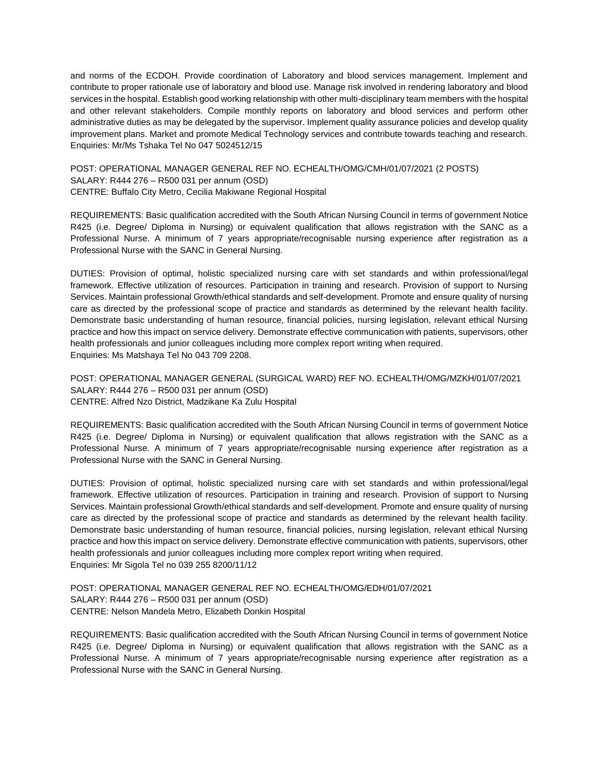and norms of the ECDOH. Provide coordination of Laboratory and blood services management. Implement and contribute to proper rationale use of laboratory and blood use. Manage risk involved in rendering laboratory and blood services in the hospital. Establish good working relationship with other multi-disciplinary team members with the hospital and other relevant stakeholders. Compile monthly reports on laboratory and blood services and perform other administrative duties as may be delegated by the supervisor. Implement quality assurance policies and develop quality improvement plans. Market and promote Medical Technology services and contribute towards teaching and research. Enquiries: Mr/Ms Tshaka Tel No 047 5024512/15

POST: OPERATIONAL MANAGER GENERAL REF NO. ECHEALTH/OMG/CMH/01/07/2021 (2 POSTS) SALARY: R444 276 – R500 031 per annum (OSD) CENTRE: Buffalo City Metro, Cecilia Makiwane Regional Hospital

REQUIREMENTS: Basic qualification accredited with the South African Nursing Council in terms of government Notice R425 (i.e. Degree/ Diploma in Nursing) or equivalent qualification that allows registration with the SANC as a Professional Nurse. A minimum of 7 years appropriate/recognisable nursing experience after registration as a Professional Nurse with the SANC in General Nursing.

DUTIES: Provision of optimal, holistic specialized nursing care with set standards and within professional/legal framework. Effective utilization of resources. Participation in training and research. Provision of support to Nursing Services. Maintain professional Growth/ethical standards and self-development. Promote and ensure quality of nursing care as directed by the professional scope of practice and standards as determined by the relevant health facility. Demonstrate basic understanding of human resource, financial policies, nursing legislation, relevant ethical Nursing practice and how this impact on service delivery. Demonstrate effective communication with patients, supervisors, other health professionals and junior colleagues including more complex report writing when required. Enquiries: Ms Matshaya Tel No 043 709 2208.

POST: OPERATIONAL MANAGER GENERAL (SURGICAL WARD) REF NO. ECHEALTH/OMG/MZKH/01/07/2021 SALARY: R444 276 – R500 031 per annum (OSD) CENTRE: Alfred Nzo District, Madzikane Ka Zulu Hospital

REQUIREMENTS: Basic qualification accredited with the South African Nursing Council in terms of government Notice R425 (i.e. Degree/ Diploma in Nursing) or equivalent qualification that allows registration with the SANC as a Professional Nurse. A minimum of 7 years appropriate/recognisable nursing experience after registration as a Professional Nurse with the SANC in General Nursing.

DUTIES: Provision of optimal, holistic specialized nursing care with set standards and within professional/legal framework. Effective utilization of resources. Participation in training and research. Provision of support to Nursing Services. Maintain professional Growth/ethical standards and self-development. Promote and ensure quality of nursing care as directed by the professional scope of practice and standards as determined by the relevant health facility. Demonstrate basic understanding of human resource, financial policies, nursing legislation, relevant ethical Nursing practice and how this impact on service delivery. Demonstrate effective communication with patients, supervisors, other health professionals and junior colleagues including more complex report writing when required. Enquiries: Mr Sigola Tel no 039 255 8200/11/12

POST: OPERATIONAL MANAGER GENERAL REF NO. ECHEALTH/OMG/EDH/01/07/2021 SALARY: R444 276 – R500 031 per annum (OSD) CENTRE: Nelson Mandela Metro, Elizabeth Donkin Hospital

REQUIREMENTS: Basic qualification accredited with the South African Nursing Council in terms of government Notice R425 (i.e. Degree/ Diploma in Nursing) or equivalent qualification that allows registration with the SANC as a Professional Nurse. A minimum of 7 years appropriate/recognisable nursing experience after registration as a Professional Nurse with the SANC in General Nursing.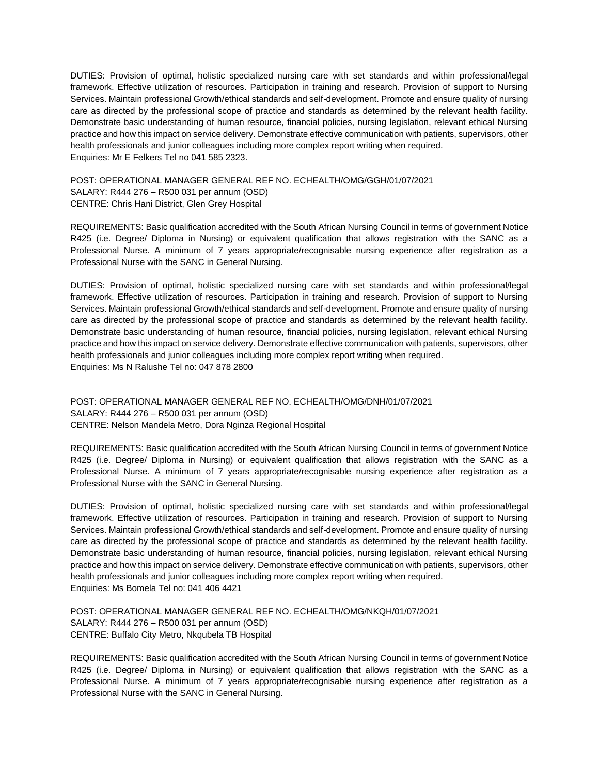DUTIES: Provision of optimal, holistic specialized nursing care with set standards and within professional/legal framework. Effective utilization of resources. Participation in training and research. Provision of support to Nursing Services. Maintain professional Growth/ethical standards and self-development. Promote and ensure quality of nursing care as directed by the professional scope of practice and standards as determined by the relevant health facility. Demonstrate basic understanding of human resource, financial policies, nursing legislation, relevant ethical Nursing practice and how this impact on service delivery. Demonstrate effective communication with patients, supervisors, other health professionals and junior colleagues including more complex report writing when required. Enquiries: Mr E Felkers Tel no 041 585 2323.

POST: OPERATIONAL MANAGER GENERAL REF NO. ECHEALTH/OMG/GGH/01/07/2021 SALARY: R444 276 – R500 031 per annum (OSD) CENTRE: Chris Hani District, Glen Grey Hospital

REQUIREMENTS: Basic qualification accredited with the South African Nursing Council in terms of government Notice R425 (i.e. Degree/ Diploma in Nursing) or equivalent qualification that allows registration with the SANC as a Professional Nurse. A minimum of 7 years appropriate/recognisable nursing experience after registration as a Professional Nurse with the SANC in General Nursing.

DUTIES: Provision of optimal, holistic specialized nursing care with set standards and within professional/legal framework. Effective utilization of resources. Participation in training and research. Provision of support to Nursing Services. Maintain professional Growth/ethical standards and self-development. Promote and ensure quality of nursing care as directed by the professional scope of practice and standards as determined by the relevant health facility. Demonstrate basic understanding of human resource, financial policies, nursing legislation, relevant ethical Nursing practice and how this impact on service delivery. Demonstrate effective communication with patients, supervisors, other health professionals and junior colleagues including more complex report writing when required. Enquiries: Ms N Ralushe Tel no: 047 878 2800

POST: OPERATIONAL MANAGER GENERAL REF NO. ECHEALTH/OMG/DNH/01/07/2021 SALARY: R444 276 – R500 031 per annum (OSD) CENTRE: Nelson Mandela Metro, Dora Nginza Regional Hospital

REQUIREMENTS: Basic qualification accredited with the South African Nursing Council in terms of government Notice R425 (i.e. Degree/ Diploma in Nursing) or equivalent qualification that allows registration with the SANC as a Professional Nurse. A minimum of 7 years appropriate/recognisable nursing experience after registration as a Professional Nurse with the SANC in General Nursing.

DUTIES: Provision of optimal, holistic specialized nursing care with set standards and within professional/legal framework. Effective utilization of resources. Participation in training and research. Provision of support to Nursing Services. Maintain professional Growth/ethical standards and self-development. Promote and ensure quality of nursing care as directed by the professional scope of practice and standards as determined by the relevant health facility. Demonstrate basic understanding of human resource, financial policies, nursing legislation, relevant ethical Nursing practice and how this impact on service delivery. Demonstrate effective communication with patients, supervisors, other health professionals and junior colleagues including more complex report writing when required. Enquiries: Ms Bomela Tel no: 041 406 4421

POST: OPERATIONAL MANAGER GENERAL REF NO. ECHEALTH/OMG/NKQH/01/07/2021 SALARY: R444 276 – R500 031 per annum (OSD) CENTRE: Buffalo City Metro, Nkqubela TB Hospital

REQUIREMENTS: Basic qualification accredited with the South African Nursing Council in terms of government Notice R425 (i.e. Degree/ Diploma in Nursing) or equivalent qualification that allows registration with the SANC as a Professional Nurse. A minimum of 7 years appropriate/recognisable nursing experience after registration as a Professional Nurse with the SANC in General Nursing.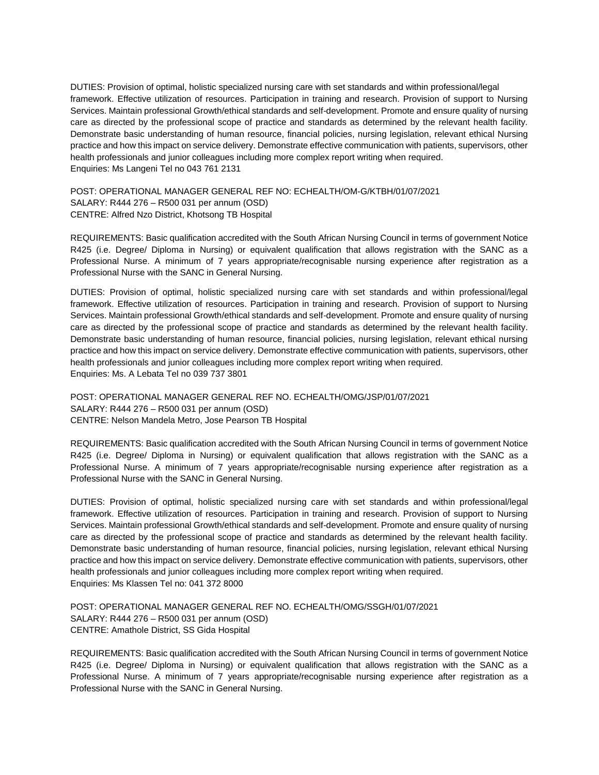DUTIES: Provision of optimal, holistic specialized nursing care with set standards and within professional/legal framework. Effective utilization of resources. Participation in training and research. Provision of support to Nursing Services. Maintain professional Growth/ethical standards and self-development. Promote and ensure quality of nursing care as directed by the professional scope of practice and standards as determined by the relevant health facility. Demonstrate basic understanding of human resource, financial policies, nursing legislation, relevant ethical Nursing practice and how this impact on service delivery. Demonstrate effective communication with patients, supervisors, other health professionals and junior colleagues including more complex report writing when required. Enquiries: Ms Langeni Tel no 043 761 2131

POST: OPERATIONAL MANAGER GENERAL REF NO: ECHEALTH/OM-G/KTBH/01/07/2021 SALARY: R444 276 – R500 031 per annum (OSD) CENTRE: Alfred Nzo District, Khotsong TB Hospital

REQUIREMENTS: Basic qualification accredited with the South African Nursing Council in terms of government Notice R425 (i.e. Degree/ Diploma in Nursing) or equivalent qualification that allows registration with the SANC as a Professional Nurse. A minimum of 7 years appropriate/recognisable nursing experience after registration as a Professional Nurse with the SANC in General Nursing.

DUTIES: Provision of optimal, holistic specialized nursing care with set standards and within professional/legal framework. Effective utilization of resources. Participation in training and research. Provision of support to Nursing Services. Maintain professional Growth/ethical standards and self-development. Promote and ensure quality of nursing care as directed by the professional scope of practice and standards as determined by the relevant health facility. Demonstrate basic understanding of human resource, financial policies, nursing legislation, relevant ethical nursing practice and how this impact on service delivery. Demonstrate effective communication with patients, supervisors, other health professionals and junior colleagues including more complex report writing when required. Enquiries: Ms. A Lebata Tel no 039 737 3801

POST: OPERATIONAL MANAGER GENERAL REF NO. ECHEALTH/OMG/JSP/01/07/2021 SALARY: R444 276 – R500 031 per annum (OSD) CENTRE: Nelson Mandela Metro, Jose Pearson TB Hospital

REQUIREMENTS: Basic qualification accredited with the South African Nursing Council in terms of government Notice R425 (i.e. Degree/ Diploma in Nursing) or equivalent qualification that allows registration with the SANC as a Professional Nurse. A minimum of 7 years appropriate/recognisable nursing experience after registration as a Professional Nurse with the SANC in General Nursing.

DUTIES: Provision of optimal, holistic specialized nursing care with set standards and within professional/legal framework. Effective utilization of resources. Participation in training and research. Provision of support to Nursing Services. Maintain professional Growth/ethical standards and self-development. Promote and ensure quality of nursing care as directed by the professional scope of practice and standards as determined by the relevant health facility. Demonstrate basic understanding of human resource, financial policies, nursing legislation, relevant ethical Nursing practice and how this impact on service delivery. Demonstrate effective communication with patients, supervisors, other health professionals and junior colleagues including more complex report writing when required. Enquiries: Ms Klassen Tel no: 041 372 8000

POST: OPERATIONAL MANAGER GENERAL REF NO. ECHEALTH/OMG/SSGH/01/07/2021 SALARY: R444 276 – R500 031 per annum (OSD) CENTRE: Amathole District, SS Gida Hospital

REQUIREMENTS: Basic qualification accredited with the South African Nursing Council in terms of government Notice R425 (i.e. Degree/ Diploma in Nursing) or equivalent qualification that allows registration with the SANC as a Professional Nurse. A minimum of 7 years appropriate/recognisable nursing experience after registration as a Professional Nurse with the SANC in General Nursing.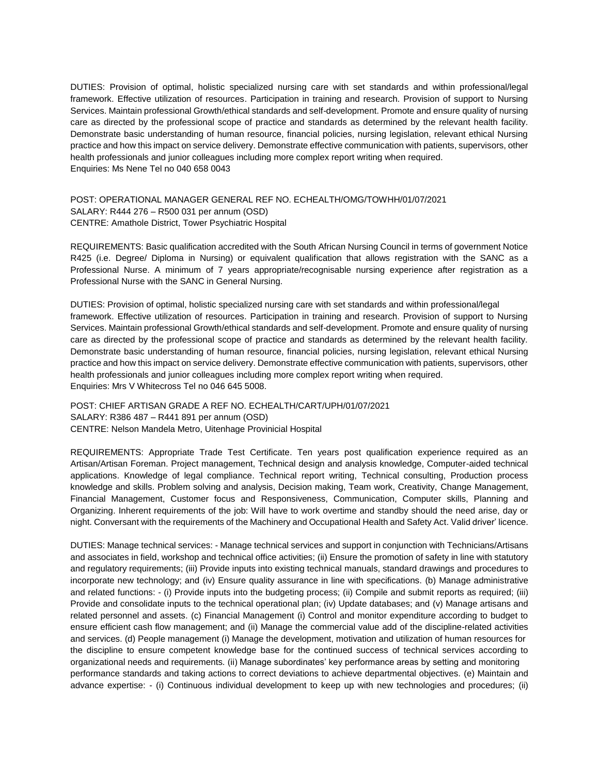DUTIES: Provision of optimal, holistic specialized nursing care with set standards and within professional/legal framework. Effective utilization of resources. Participation in training and research. Provision of support to Nursing Services. Maintain professional Growth/ethical standards and self-development. Promote and ensure quality of nursing care as directed by the professional scope of practice and standards as determined by the relevant health facility. Demonstrate basic understanding of human resource, financial policies, nursing legislation, relevant ethical Nursing practice and how this impact on service delivery. Demonstrate effective communication with patients, supervisors, other health professionals and junior colleagues including more complex report writing when required. Enquiries: Ms Nene Tel no 040 658 0043

POST: OPERATIONAL MANAGER GENERAL REF NO. ECHEALTH/OMG/TOWHH/01/07/2021 SALARY: R444 276 – R500 031 per annum (OSD) CENTRE: Amathole District, Tower Psychiatric Hospital

REQUIREMENTS: Basic qualification accredited with the South African Nursing Council in terms of government Notice R425 (i.e. Degree/ Diploma in Nursing) or equivalent qualification that allows registration with the SANC as a Professional Nurse. A minimum of 7 years appropriate/recognisable nursing experience after registration as a Professional Nurse with the SANC in General Nursing.

DUTIES: Provision of optimal, holistic specialized nursing care with set standards and within professional/legal framework. Effective utilization of resources. Participation in training and research. Provision of support to Nursing Services. Maintain professional Growth/ethical standards and self-development. Promote and ensure quality of nursing care as directed by the professional scope of practice and standards as determined by the relevant health facility. Demonstrate basic understanding of human resource, financial policies, nursing legislation, relevant ethical Nursing practice and how this impact on service delivery. Demonstrate effective communication with patients, supervisors, other health professionals and junior colleagues including more complex report writing when required. Enquiries: Mrs V Whitecross Tel no 046 645 5008.

POST: CHIEF ARTISAN GRADE A REF NO. ECHEALTH/CART/UPH/01/07/2021 SALARY: R386 487 – R441 891 per annum (OSD) CENTRE: Nelson Mandela Metro, Uitenhage Provinicial Hospital

REQUIREMENTS: Appropriate Trade Test Certificate. Ten years post qualification experience required as an Artisan/Artisan Foreman. Project management, Technical design and analysis knowledge, Computer-aided technical applications. Knowledge of legal compliance. Technical report writing, Technical consulting, Production process knowledge and skills. Problem solving and analysis, Decision making, Team work, Creativity, Change Management, Financial Management, Customer focus and Responsiveness, Communication, Computer skills, Planning and Organizing. Inherent requirements of the job: Will have to work overtime and standby should the need arise, day or night. Conversant with the requirements of the Machinery and Occupational Health and Safety Act. Valid driver' licence.

DUTIES: Manage technical services: - Manage technical services and support in conjunction with Technicians/Artisans and associates in field, workshop and technical office activities; (ii) Ensure the promotion of safety in line with statutory and regulatory requirements; (iii) Provide inputs into existing technical manuals, standard drawings and procedures to incorporate new technology; and (iv) Ensure quality assurance in line with specifications. (b) Manage administrative and related functions: - (i) Provide inputs into the budgeting process; (ii) Compile and submit reports as required; (iii) Provide and consolidate inputs to the technical operational plan; (iv) Update databases; and (v) Manage artisans and related personnel and assets. (c) Financial Management (i) Control and monitor expenditure according to budget to ensure efficient cash flow management; and (ii) Manage the commercial value add of the discipline-related activities and services. (d) People management (i) Manage the development, motivation and utilization of human resources for the discipline to ensure competent knowledge base for the continued success of technical services according to organizational needs and requirements. (ii) Manage subordinates' key performance areas by setting and monitoring performance standards and taking actions to correct deviations to achieve departmental objectives. (e) Maintain and advance expertise: - (i) Continuous individual development to keep up with new technologies and procedures; (ii)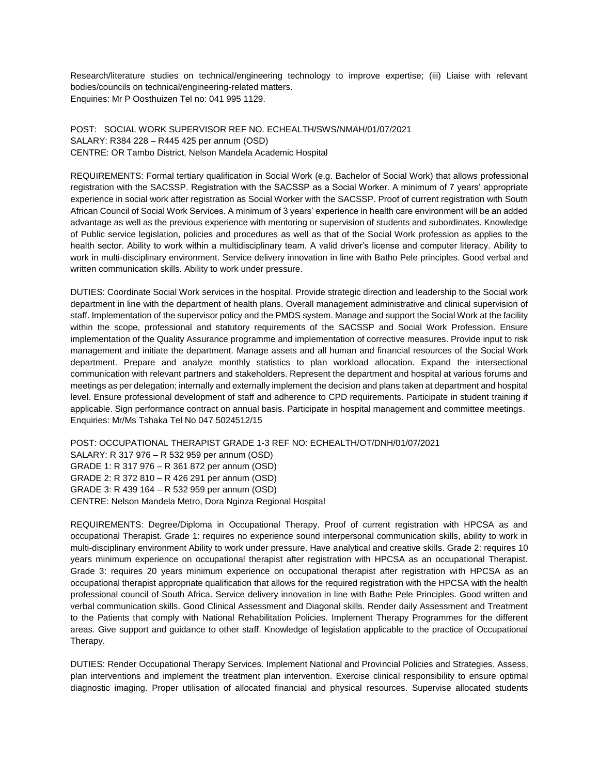Research/literature studies on technical/engineering technology to improve expertise; (iii) Liaise with relevant bodies/councils on technical/engineering-related matters. Enquiries: Mr P Oosthuizen Tel no: 041 995 1129.

POST: SOCIAL WORK SUPERVISOR REF NO. ECHEALTH/SWS/NMAH/01/07/2021 SALARY: R384 228 – R445 425 per annum (OSD) CENTRE: OR Tambo District, Nelson Mandela Academic Hospital

REQUIREMENTS: Formal tertiary qualification in Social Work (e.g. Bachelor of Social Work) that allows professional registration with the SACSSP. Registration with the SACSSP as a Social Worker. A minimum of 7 years' appropriate experience in social work after registration as Social Worker with the SACSSP. Proof of current registration with South African Council of Social Work Services. A minimum of 3 years' experience in health care environment will be an added advantage as well as the previous experience with mentoring or supervision of students and subordinates. Knowledge of Public service legislation, policies and procedures as well as that of the Social Work profession as applies to the health sector. Ability to work within a multidisciplinary team. A valid driver's license and computer literacy. Ability to work in multi-disciplinary environment. Service delivery innovation in line with Batho Pele principles. Good verbal and written communication skills. Ability to work under pressure.

DUTIES: Coordinate Social Work services in the hospital. Provide strategic direction and leadership to the Social work department in line with the department of health plans. Overall management administrative and clinical supervision of staff. Implementation of the supervisor policy and the PMDS system. Manage and support the Social Work at the facility within the scope, professional and statutory requirements of the SACSSP and Social Work Profession. Ensure implementation of the Quality Assurance programme and implementation of corrective measures. Provide input to risk management and initiate the department. Manage assets and all human and financial resources of the Social Work department. Prepare and analyze monthly statistics to plan workload allocation. Expand the intersectional communication with relevant partners and stakeholders. Represent the department and hospital at various forums and meetings as per delegation; internally and externally implement the decision and plans taken at department and hospital level. Ensure professional development of staff and adherence to CPD requirements. Participate in student training if applicable. Sign performance contract on annual basis. Participate in hospital management and committee meetings. Enquiries: Mr/Ms Tshaka Tel No 047 5024512/15

POST: OCCUPATIONAL THERAPIST GRADE 1-3 REF NO: ECHEALTH/OT/DNH/01/07/2021 SALARY: R 317 976 – R 532 959 per annum (OSD) GRADE 1: R 317 976 – R 361 872 per annum (OSD) GRADE 2: R 372 810 – R 426 291 per annum (OSD) GRADE 3: R 439 164 – R 532 959 per annum (OSD) CENTRE: Nelson Mandela Metro, Dora Nginza Regional Hospital

REQUIREMENTS: Degree/Diploma in Occupational Therapy. Proof of current registration with HPCSA as and occupational Therapist. Grade 1: requires no experience sound interpersonal communication skills, ability to work in multi-disciplinary environment Ability to work under pressure. Have analytical and creative skills. Grade 2: requires 10 years minimum experience on occupational therapist after registration with HPCSA as an occupational Therapist. Grade 3: requires 20 years minimum experience on occupational therapist after registration with HPCSA as an occupational therapist appropriate qualification that allows for the required registration with the HPCSA with the health professional council of South Africa. Service delivery innovation in line with Bathe Pele Principles. Good written and verbal communication skills. Good Clinical Assessment and Diagonal skills. Render daily Assessment and Treatment to the Patients that comply with National Rehabilitation Policies. Implement Therapy Programmes for the different areas. Give support and guidance to other staff. Knowledge of legislation applicable to the practice of Occupational Therapy.

DUTIES: Render Occupational Therapy Services. Implement National and Provincial Policies and Strategies. Assess, plan interventions and implement the treatment plan intervention. Exercise clinical responsibility to ensure optimal diagnostic imaging. Proper utilisation of allocated financial and physical resources. Supervise allocated students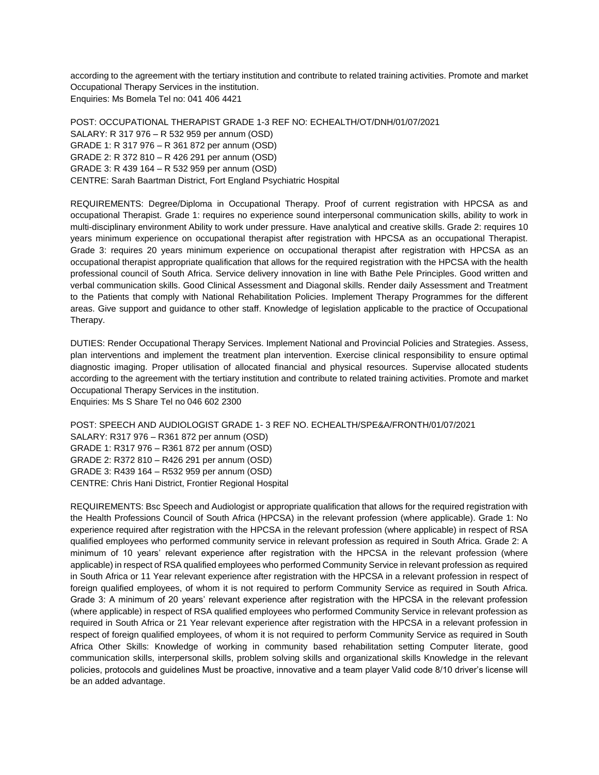according to the agreement with the tertiary institution and contribute to related training activities. Promote and market Occupational Therapy Services in the institution. Enquiries: Ms Bomela Tel no: 041 406 4421

POST: OCCUPATIONAL THERAPIST GRADE 1-3 REF NO: ECHEALTH/OT/DNH/01/07/2021 SALARY: R 317 976 – R 532 959 per annum (OSD) GRADE 1: R 317 976 – R 361 872 per annum (OSD) GRADE 2: R 372 810 – R 426 291 per annum (OSD) GRADE 3: R 439 164 – R 532 959 per annum (OSD) CENTRE: Sarah Baartman District, Fort England Psychiatric Hospital

REQUIREMENTS: Degree/Diploma in Occupational Therapy. Proof of current registration with HPCSA as and occupational Therapist. Grade 1: requires no experience sound interpersonal communication skills, ability to work in multi-disciplinary environment Ability to work under pressure. Have analytical and creative skills. Grade 2: requires 10 years minimum experience on occupational therapist after registration with HPCSA as an occupational Therapist. Grade 3: requires 20 years minimum experience on occupational therapist after registration with HPCSA as an occupational therapist appropriate qualification that allows for the required registration with the HPCSA with the health professional council of South Africa. Service delivery innovation in line with Bathe Pele Principles. Good written and verbal communication skills. Good Clinical Assessment and Diagonal skills. Render daily Assessment and Treatment to the Patients that comply with National Rehabilitation Policies. Implement Therapy Programmes for the different areas. Give support and guidance to other staff. Knowledge of legislation applicable to the practice of Occupational Therapy.

DUTIES: Render Occupational Therapy Services. Implement National and Provincial Policies and Strategies. Assess, plan interventions and implement the treatment plan intervention. Exercise clinical responsibility to ensure optimal diagnostic imaging. Proper utilisation of allocated financial and physical resources. Supervise allocated students according to the agreement with the tertiary institution and contribute to related training activities. Promote and market Occupational Therapy Services in the institution. Enquiries: Ms S Share Tel no 046 602 2300

POST: SPEECH AND AUDIOLOGIST GRADE 1- 3 REF NO. ECHEALTH/SPE&A/FRONTH/01/07/2021 SALARY: R317 976 – R361 872 per annum (OSD) GRADE 1: R317 976 – R361 872 per annum (OSD) GRADE 2: R372 810 – R426 291 per annum (OSD) GRADE 3: R439 164 – R532 959 per annum (OSD) CENTRE: Chris Hani District, Frontier Regional Hospital

REQUIREMENTS: Bsc Speech and Audiologist or appropriate qualification that allows for the required registration with the Health Professions Council of South Africa (HPCSA) in the relevant profession (where applicable). Grade 1: No experience required after registration with the HPCSA in the relevant profession (where applicable) in respect of RSA qualified employees who performed community service in relevant profession as required in South Africa. Grade 2: A minimum of 10 years' relevant experience after registration with the HPCSA in the relevant profession (where applicable) in respect of RSA qualified employees who performed Community Service in relevant profession as required in South Africa or 11 Year relevant experience after registration with the HPCSA in a relevant profession in respect of foreign qualified employees, of whom it is not required to perform Community Service as required in South Africa. Grade 3: A minimum of 20 years' relevant experience after registration with the HPCSA in the relevant profession (where applicable) in respect of RSA qualified employees who performed Community Service in relevant profession as required in South Africa or 21 Year relevant experience after registration with the HPCSA in a relevant profession in respect of foreign qualified employees, of whom it is not required to perform Community Service as required in South Africa Other Skills: Knowledge of working in community based rehabilitation setting Computer literate, good communication skills, interpersonal skills, problem solving skills and organizational skills Knowledge in the relevant policies, protocols and guidelines Must be proactive, innovative and a team player Valid code 8/10 driver's license will be an added advantage.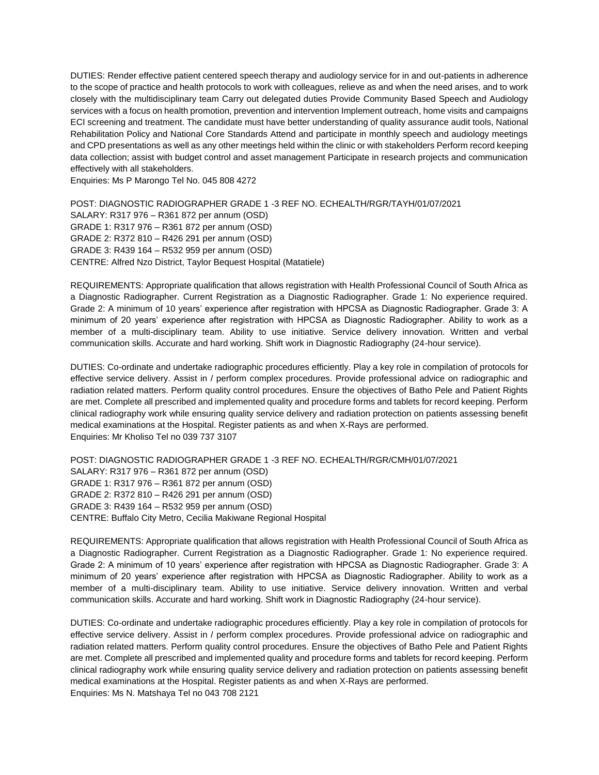DUTIES: Render effective patient centered speech therapy and audiology service for in and out-patients in adherence to the scope of practice and health protocols to work with colleagues, relieve as and when the need arises, and to work closely with the multidisciplinary team Carry out delegated duties Provide Community Based Speech and Audiology services with a focus on health promotion, prevention and intervention Implement outreach, home visits and campaigns ECI screening and treatment. The candidate must have better understanding of quality assurance audit tools, National Rehabilitation Policy and National Core Standards Attend and participate in monthly speech and audiology meetings and CPD presentations as well as any other meetings held within the clinic or with stakeholders Perform record keeping data collection; assist with budget control and asset management Participate in research projects and communication effectively with all stakeholders.

Enquiries: Ms P Marongo Tel No. 045 808 4272

POST: DIAGNOSTIC RADIOGRAPHER GRADE 1 -3 REF NO. ECHEALTH/RGR/TAYH/01/07/2021 SALARY: R317 976 – R361 872 per annum (OSD) GRADE 1: R317 976 – R361 872 per annum (OSD) GRADE 2: R372 810 – R426 291 per annum (OSD) GRADE 3: R439 164 – R532 959 per annum (OSD) CENTRE: Alfred Nzo District, Taylor Bequest Hospital (Matatiele)

REQUIREMENTS: Appropriate qualification that allows registration with Health Professional Council of South Africa as a Diagnostic Radiographer. Current Registration as a Diagnostic Radiographer. Grade 1: No experience required. Grade 2: A minimum of 10 years' experience after registration with HPCSA as Diagnostic Radiographer. Grade 3: A minimum of 20 years' experience after registration with HPCSA as Diagnostic Radiographer. Ability to work as a member of a multi-disciplinary team. Ability to use initiative. Service delivery innovation. Written and verbal communication skills. Accurate and hard working. Shift work in Diagnostic Radiography (24-hour service).

DUTIES: Co-ordinate and undertake radiographic procedures efficiently. Play a key role in compilation of protocols for effective service delivery. Assist in / perform complex procedures. Provide professional advice on radiographic and radiation related matters. Perform quality control procedures. Ensure the objectives of Batho Pele and Patient Rights are met. Complete all prescribed and implemented quality and procedure forms and tablets for record keeping. Perform clinical radiography work while ensuring quality service delivery and radiation protection on patients assessing benefit medical examinations at the Hospital. Register patients as and when X-Rays are performed. Enquiries: Mr Kholiso Tel no 039 737 3107

POST: DIAGNOSTIC RADIOGRAPHER GRADE 1 -3 REF NO. ECHEALTH/RGR/CMH/01/07/2021 SALARY: R317 976 – R361 872 per annum (OSD) GRADE 1: R317 976 – R361 872 per annum (OSD) GRADE 2: R372 810 – R426 291 per annum (OSD) GRADE 3: R439 164 – R532 959 per annum (OSD) CENTRE: Buffalo City Metro, Cecilia Makiwane Regional Hospital

REQUIREMENTS: Appropriate qualification that allows registration with Health Professional Council of South Africa as a Diagnostic Radiographer. Current Registration as a Diagnostic Radiographer. Grade 1: No experience required. Grade 2: A minimum of 10 years' experience after registration with HPCSA as Diagnostic Radiographer. Grade 3: A minimum of 20 years' experience after registration with HPCSA as Diagnostic Radiographer. Ability to work as a member of a multi-disciplinary team. Ability to use initiative. Service delivery innovation. Written and verbal communication skills. Accurate and hard working. Shift work in Diagnostic Radiography (24-hour service).

DUTIES: Co-ordinate and undertake radiographic procedures efficiently. Play a key role in compilation of protocols for effective service delivery. Assist in / perform complex procedures. Provide professional advice on radiographic and radiation related matters. Perform quality control procedures. Ensure the objectives of Batho Pele and Patient Rights are met. Complete all prescribed and implemented quality and procedure forms and tablets for record keeping. Perform clinical radiography work while ensuring quality service delivery and radiation protection on patients assessing benefit medical examinations at the Hospital. Register patients as and when X-Rays are performed. Enquiries: Ms N. Matshaya Tel no 043 708 2121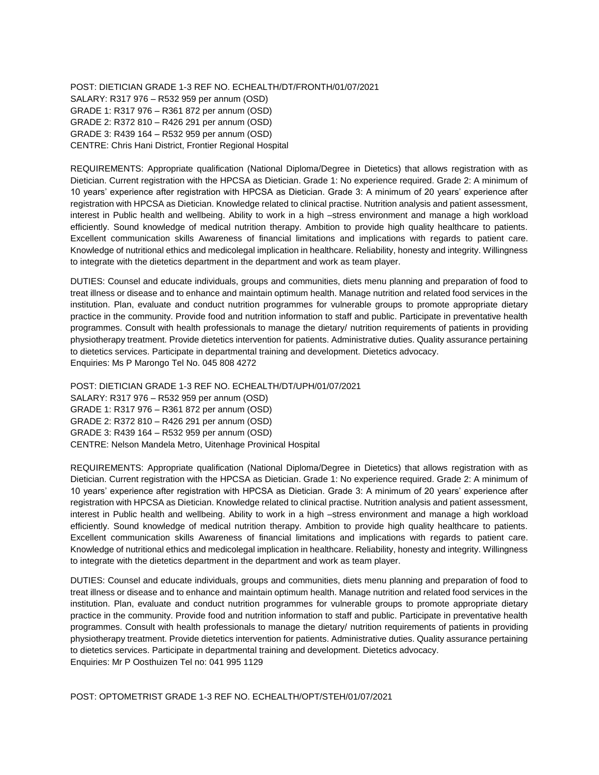POST: DIETICIAN GRADE 1-3 REF NO. ECHEALTH/DT/FRONTH/01/07/2021 SALARY: R317 976 – R532 959 per annum (OSD) GRADE 1: R317 976 – R361 872 per annum (OSD) GRADE 2: R372 810 – R426 291 per annum (OSD) GRADE 3: R439 164 – R532 959 per annum (OSD) CENTRE: Chris Hani District, Frontier Regional Hospital

REQUIREMENTS: Appropriate qualification (National Diploma/Degree in Dietetics) that allows registration with as Dietician. Current registration with the HPCSA as Dietician. Grade 1: No experience required. Grade 2: A minimum of 10 years' experience after registration with HPCSA as Dietician. Grade 3: A minimum of 20 years' experience after registration with HPCSA as Dietician. Knowledge related to clinical practise. Nutrition analysis and patient assessment, interest in Public health and wellbeing. Ability to work in a high –stress environment and manage a high workload efficiently. Sound knowledge of medical nutrition therapy. Ambition to provide high quality healthcare to patients. Excellent communication skills Awareness of financial limitations and implications with regards to patient care. Knowledge of nutritional ethics and medicolegal implication in healthcare. Reliability, honesty and integrity. Willingness to integrate with the dietetics department in the department and work as team player.

DUTIES: Counsel and educate individuals, groups and communities, diets menu planning and preparation of food to treat illness or disease and to enhance and maintain optimum health. Manage nutrition and related food services in the institution. Plan, evaluate and conduct nutrition programmes for vulnerable groups to promote appropriate dietary practice in the community. Provide food and nutrition information to staff and public. Participate in preventative health programmes. Consult with health professionals to manage the dietary/ nutrition requirements of patients in providing physiotherapy treatment. Provide dietetics intervention for patients. Administrative duties. Quality assurance pertaining to dietetics services. Participate in departmental training and development. Dietetics advocacy. Enquiries: Ms P Marongo Tel No. 045 808 4272

POST: DIETICIAN GRADE 1-3 REF NO. ECHEALTH/DT/UPH/01/07/2021 SALARY: R317 976 – R532 959 per annum (OSD) GRADE 1: R317 976 – R361 872 per annum (OSD) GRADE 2: R372 810 – R426 291 per annum (OSD) GRADE 3: R439 164 – R532 959 per annum (OSD) CENTRE: Nelson Mandela Metro, Uitenhage Provinical Hospital

REQUIREMENTS: Appropriate qualification (National Diploma/Degree in Dietetics) that allows registration with as Dietician. Current registration with the HPCSA as Dietician. Grade 1: No experience required. Grade 2: A minimum of 10 years' experience after registration with HPCSA as Dietician. Grade 3: A minimum of 20 years' experience after registration with HPCSA as Dietician. Knowledge related to clinical practise. Nutrition analysis and patient assessment, interest in Public health and wellbeing. Ability to work in a high –stress environment and manage a high workload efficiently. Sound knowledge of medical nutrition therapy. Ambition to provide high quality healthcare to patients. Excellent communication skills Awareness of financial limitations and implications with regards to patient care. Knowledge of nutritional ethics and medicolegal implication in healthcare. Reliability, honesty and integrity. Willingness to integrate with the dietetics department in the department and work as team player.

DUTIES: Counsel and educate individuals, groups and communities, diets menu planning and preparation of food to treat illness or disease and to enhance and maintain optimum health. Manage nutrition and related food services in the institution. Plan, evaluate and conduct nutrition programmes for vulnerable groups to promote appropriate dietary practice in the community. Provide food and nutrition information to staff and public. Participate in preventative health programmes. Consult with health professionals to manage the dietary/ nutrition requirements of patients in providing physiotherapy treatment. Provide dietetics intervention for patients. Administrative duties. Quality assurance pertaining to dietetics services. Participate in departmental training and development. Dietetics advocacy. Enquiries: Mr P Oosthuizen Tel no: 041 995 1129

POST: OPTOMETRIST GRADE 1-3 REF NO. ECHEALTH/OPT/STEH/01/07/2021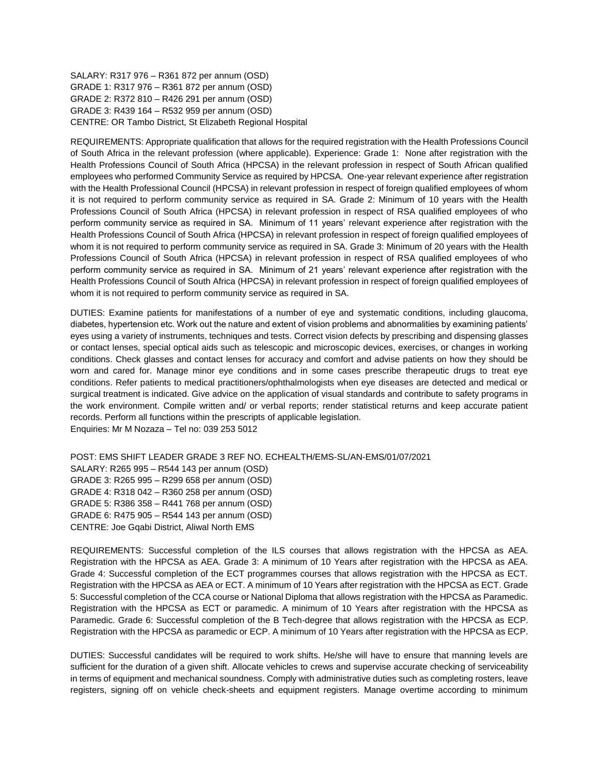SALARY: R317 976 – R361 872 per annum (OSD) GRADE 1: R317 976 – R361 872 per annum (OSD) GRADE 2: R372 810 – R426 291 per annum (OSD) GRADE 3: R439 164 – R532 959 per annum (OSD) CENTRE: OR Tambo District, St Elizabeth Regional Hospital

REQUIREMENTS: Appropriate qualification that allows for the required registration with the Health Professions Council of South Africa in the relevant profession (where applicable). Experience: Grade 1: None after registration with the Health Professions Council of South Africa (HPCSA) in the relevant profession in respect of South African qualified employees who performed Community Service as required by HPCSA. One-year relevant experience after registration with the Health Professional Council (HPCSA) in relevant profession in respect of foreign qualified employees of whom it is not required to perform community service as required in SA. Grade 2: Minimum of 10 years with the Health Professions Council of South Africa (HPCSA) in relevant profession in respect of RSA qualified employees of who perform community service as required in SA. Minimum of 11 years' relevant experience after registration with the Health Professions Council of South Africa (HPCSA) in relevant profession in respect of foreign qualified employees of whom it is not required to perform community service as required in SA. Grade 3: Minimum of 20 years with the Health Professions Council of South Africa (HPCSA) in relevant profession in respect of RSA qualified employees of who perform community service as required in SA. Minimum of 21 years' relevant experience after registration with the Health Professions Council of South Africa (HPCSA) in relevant profession in respect of foreign qualified employees of whom it is not required to perform community service as required in SA.

DUTIES: Examine patients for manifestations of a number of eye and systematic conditions, including glaucoma, diabetes, hypertension etc. Work out the nature and extent of vision problems and abnormalities by examining patients' eyes using a variety of instruments, techniques and tests. Correct vision defects by prescribing and dispensing glasses or contact lenses, special optical aids such as telescopic and microscopic devices, exercises, or changes in working conditions. Check glasses and contact lenses for accuracy and comfort and advise patients on how they should be worn and cared for. Manage minor eye conditions and in some cases prescribe therapeutic drugs to treat eye conditions. Refer patients to medical practitioners/ophthalmologists when eye diseases are detected and medical or surgical treatment is indicated. Give advice on the application of visual standards and contribute to safety programs in the work environment. Compile written and/ or verbal reports; render statistical returns and keep accurate patient records. Perform all functions within the prescripts of applicable legislation. Enquiries: Mr M Nozaza – Tel no: 039 253 5012

POST: EMS SHIFT LEADER GRADE 3 REF NO. ECHEALTH/EMS-SL/AN-EMS/01/07/2021 SALARY: R265 995 – R544 143 per annum (OSD) GRADE 3: R265 995 – R299 658 per annum (OSD) GRADE 4: R318 042 – R360 258 per annum (OSD) GRADE 5: R386 358 – R441 768 per annum (OSD) GRADE 6: R475 905 – R544 143 per annum (OSD) CENTRE: Joe Gqabi District, Aliwal North EMS

REQUIREMENTS: Successful completion of the ILS courses that allows registration with the HPCSA as AEA. Registration with the HPCSA as AEA. Grade 3: A minimum of 10 Years after registration with the HPCSA as AEA. Grade 4: Successful completion of the ECT programmes courses that allows registration with the HPCSA as ECT. Registration with the HPCSA as AEA or ECT. A minimum of 10 Years after registration with the HPCSA as ECT. Grade 5: Successful completion of the CCA course or National Diploma that allows registration with the HPCSA as Paramedic. Registration with the HPCSA as ECT or paramedic. A minimum of 10 Years after registration with the HPCSA as Paramedic. Grade 6: Successful completion of the B Tech-degree that allows registration with the HPCSA as ECP. Registration with the HPCSA as paramedic or ECP. A minimum of 10 Years after registration with the HPCSA as ECP.

DUTIES: Successful candidates will be required to work shifts. He/she will have to ensure that manning levels are sufficient for the duration of a given shift. Allocate vehicles to crews and supervise accurate checking of serviceability in terms of equipment and mechanical soundness. Comply with administrative duties such as completing rosters, leave registers, signing off on vehicle check-sheets and equipment registers. Manage overtime according to minimum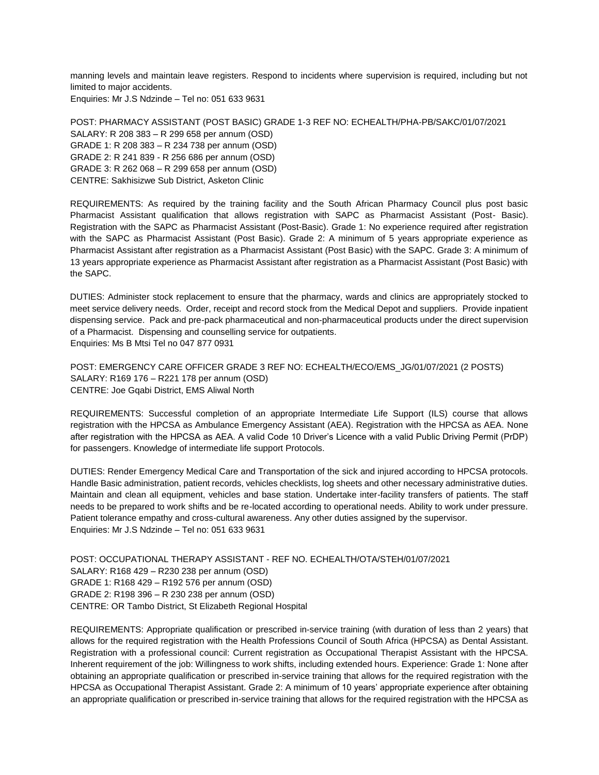manning levels and maintain leave registers. Respond to incidents where supervision is required, including but not limited to major accidents. Enquiries: Mr J.S Ndzinde – Tel no: 051 633 9631

POST: PHARMACY ASSISTANT (POST BASIC) GRADE 1-3 REF NO: ECHEALTH/PHA-PB/SAKC/01/07/2021 SALARY: R 208 383 – R 299 658 per annum (OSD) GRADE 1: R 208 383 – R 234 738 per annum (OSD) GRADE 2: R 241 839 - R 256 686 per annum (OSD) GRADE 3: R 262 068 – R 299 658 per annum (OSD) CENTRE: Sakhisizwe Sub District, Asketon Clinic

REQUIREMENTS: As required by the training facility and the South African Pharmacy Council plus post basic Pharmacist Assistant qualification that allows registration with SAPC as Pharmacist Assistant (Post- Basic). Registration with the SAPC as Pharmacist Assistant (Post-Basic). Grade 1: No experience required after registration with the SAPC as Pharmacist Assistant (Post Basic). Grade 2: A minimum of 5 years appropriate experience as Pharmacist Assistant after registration as a Pharmacist Assistant (Post Basic) with the SAPC. Grade 3: A minimum of 13 years appropriate experience as Pharmacist Assistant after registration as a Pharmacist Assistant (Post Basic) with the SAPC.

DUTIES: Administer stock replacement to ensure that the pharmacy, wards and clinics are appropriately stocked to meet service delivery needs. Order, receipt and record stock from the Medical Depot and suppliers. Provide inpatient dispensing service. Pack and pre-pack pharmaceutical and non-pharmaceutical products under the direct supervision of a Pharmacist. Dispensing and counselling service for outpatients. Enquiries: Ms B Mtsi Tel no 047 877 0931

POST: EMERGENCY CARE OFFICER GRADE 3 REF NO: ECHEALTH/ECO/EMS\_JG/01/07/2021 (2 POSTS) SALARY: R169 176 – R221 178 per annum (OSD) CENTRE: Joe Gqabi District, EMS Aliwal North

REQUIREMENTS: Successful completion of an appropriate Intermediate Life Support (ILS) course that allows registration with the HPCSA as Ambulance Emergency Assistant (AEA). Registration with the HPCSA as AEA. None after registration with the HPCSA as AEA. A valid Code 10 Driver's Licence with a valid Public Driving Permit (PrDP) for passengers. Knowledge of intermediate life support Protocols.

DUTIES: Render Emergency Medical Care and Transportation of the sick and injured according to HPCSA protocols. Handle Basic administration, patient records, vehicles checklists, log sheets and other necessary administrative duties. Maintain and clean all equipment, vehicles and base station. Undertake inter-facility transfers of patients. The staff needs to be prepared to work shifts and be re-located according to operational needs. Ability to work under pressure. Patient tolerance empathy and cross-cultural awareness. Any other duties assigned by the supervisor. Enquiries: Mr J.S Ndzinde – Tel no: 051 633 9631

POST: OCCUPATIONAL THERAPY ASSISTANT - REF NO. ECHEALTH/OTA/STEH/01/07/2021 SALARY: R168 429 – R230 238 per annum (OSD) GRADE 1: R168 429 – R192 576 per annum (OSD) GRADE 2: R198 396 – R 230 238 per annum (OSD) CENTRE: OR Tambo District, St Elizabeth Regional Hospital

REQUIREMENTS: Appropriate qualification or prescribed in-service training (with duration of less than 2 years) that allows for the required registration with the Health Professions Council of South Africa (HPCSA) as Dental Assistant. Registration with a professional council: Current registration as Occupational Therapist Assistant with the HPCSA. Inherent requirement of the job: Willingness to work shifts, including extended hours. Experience: Grade 1: None after obtaining an appropriate qualification or prescribed in-service training that allows for the required registration with the HPCSA as Occupational Therapist Assistant. Grade 2: A minimum of 10 years' appropriate experience after obtaining an appropriate qualification or prescribed in-service training that allows for the required registration with the HPCSA as